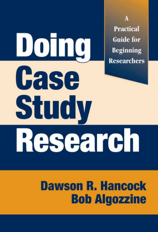A **Practical Guide for Beginning Researchers** 

# Research

Doing

Case

**Study** 

# **Dawson R. Hancock Bob Algozzine**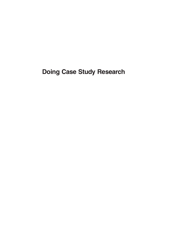# **Doing Case Study Research**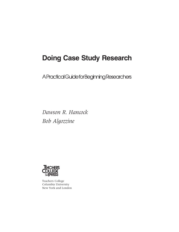# **Doing Case Study Research**

## A Practical Guide for Beginning Researchers

*Dawson R. Hancock Bob Algozzine*



Teachers College Columbia University New York and London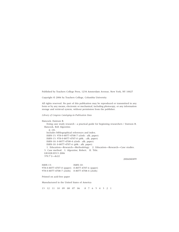Published by Teachers College Press, 1234 Amsterdam Avenue, New York, NY 10027

Copyright © 2006 by Teachers College, Columbia University

All rights reserved. No part of this publication may be reproduced or transmitted in any form or by any means, electronic or mechanical, including photocopy, or any information storage and retrieval system, without permission from the publisher.

*Library of Congress Cataloging-in-Publication Data*

Hancock, Dawson R. Doing case study research : a practical guide for beginning researchers / Dawson R. Hancock, Bob Algozzine. p. cm. Includes bibliographical references and index. ISBN-13: 978-0-8077-4708-7 (cloth : alk. paper) ISBN-13: 978-0-8077-4707-0 (pbk. : alk. paper) ISBN-10: 0-8077-4708-4 (cloth : alk. paper) ISBN-10: 0-8077-4707-6 (pbk : alk. paper) 1. Education—Research—Methodology. 2. Education—Research—Case studies. 3. Case method. I. Algozzine, Robert. II. Title. LB1028.H313 2006 370.7'2—dc22

2006040499

ISBN-13: ISBN-10: 978-0-8077-4707-0 (paper) 0-8077-4707-6 (paper) 978-0-8077-4708-7 (cloth) 0-8077-4708-4 (cloth)

Printed on acid-free paper

Manufactured in the United States of America

13 12 11 10 09 08 07 06 8 7 6 5 4 3 2 1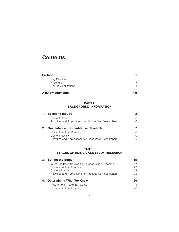## **Contents**

| <b>Preface</b>         |      |
|------------------------|------|
| Key Features           | X    |
| Rationale              | X    |
| Course Applications    | xi   |
| <b>Acknowledgments</b> | xiii |

#### **PART I: BACKGROUND INFORMATION**

| 1. | <b>Scientific Inquiry</b>                               |    |
|----|---------------------------------------------------------|----|
|    | Content Review                                          | 6  |
|    | Activities and Applications for Prospective Researchers | 6  |
| 2. | <b>Qualitative and Quantitative Research</b>            |    |
|    | Illustrations from Practice                             | 10 |
|    | Content Review                                          | 10 |
|    |                                                         |    |

#### **PART II: STAGES OF DOING CASE STUDY RESEARCH**

| 3. | <b>Setting the Stage</b>                                | 15 |
|----|---------------------------------------------------------|----|
|    | What Has Been Studied Using Case Study Research?        | 17 |
|    | Illustrations from Practice                             | 23 |
|    | Content Review                                          | 24 |
|    | Activities and Applications for Prospective Researchers | 25 |
| 4. | Determining What We Know                                | 26 |
|    | How to Do a Literature Review                           | 28 |
|    | Illustrations from Practice                             | 28 |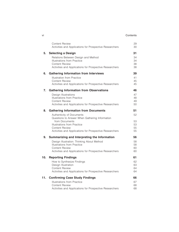| ۷i | Contents |
|----|----------|
|    |          |

|     | <b>Content Review</b><br>Activities and Applications for Prospective Researchers                                                                                                                                                                                | 29<br>30                         |
|-----|-----------------------------------------------------------------------------------------------------------------------------------------------------------------------------------------------------------------------------------------------------------------|----------------------------------|
| 5.  | <b>Selecting a Design</b><br>Relations Between Design and Method<br>Illustrations from Practice<br><b>Content Review</b><br>Activities and Applications for Prospective Researchers                                                                             | 31<br>34<br>34<br>38<br>38       |
| 6.  | <b>Gathering Information from Interviews</b><br>Illustration from Practice<br><b>Content Review</b><br>Activities and Applications for Prospective Researchers                                                                                                  | 39<br>41<br>45<br>45             |
| 7.  | <b>Gathering Information from Observations</b><br>Design Illustrations<br>Illustrations from Practice<br><b>Content Review</b><br>Activities and Applications for Prospective Researchers                                                                       | 46<br>47<br>48<br>49<br>50       |
| 8.  | <b>Gathering Information from Documents</b><br>Authenticity of Documents<br>Questions to Answer When Gathering Information<br>from Documents<br>Illustrations from Practice<br><b>Content Review</b><br>Activities and Applications for Prospective Researchers | 51<br>52<br>53<br>53<br>55<br>55 |
| 9.  | Summarizing and Interpreting the Information<br>Design Illustration: Thinking About Method<br>Illustrations from Practice<br><b>Content Review</b><br>Activities and Applications for Prospective Researchers                                                   | 56<br>58<br>58<br>60<br>60       |
| 10. | <b>Reporting Findings</b><br>How to Synthesize Findings<br>Design Illustration<br><b>Content Review</b><br>Activities and Applications for Prospective Researchers                                                                                              | 61<br>62<br>63<br>64<br>64       |
| 11. | <b>Confirming Case Study Findings</b><br>Illustrations from Practice<br><b>Content Review</b><br>Activities and Applications for Prospective Researchers                                                                                                        | 66<br>67<br>68<br>68             |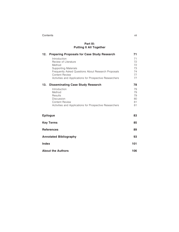#### **Part III: Putting It All Together**

| 12.          | <b>Preparing Proposals for Case Study Research</b>      | 71  |
|--------------|---------------------------------------------------------|-----|
|              | Introduction                                            | 71  |
|              | Review of Literature                                    | 72  |
|              | Method                                                  | 72  |
|              | <b>Supporting Materials</b>                             | 73  |
|              | Frequently Asked Questions About Research Proposals     | 74  |
|              | <b>Content Review</b>                                   | 77  |
|              | Activities and Applications for Prospective Researchers | 77  |
| 13.          | <b>Disseminating Case Study Research</b>                | 78  |
|              | Introduction                                            | 79  |
|              | Method                                                  | 79  |
|              | Results                                                 | 79  |
|              | Discussion                                              | 80  |
|              | <b>Content Review</b>                                   | 81  |
|              | Activities and Applications for Prospective Researchers | 81  |
|              | <b>Epilogue</b>                                         | 83  |
|              |                                                         |     |
|              | <b>Key Terms</b>                                        | 85  |
|              | <b>References</b>                                       | 89  |
|              | <b>Annotated Bibliography</b>                           | 93  |
| <b>Index</b> |                                                         | 101 |
|              | <b>About the Authors</b>                                | 106 |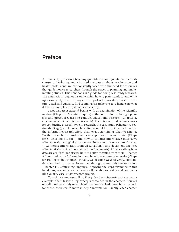## **Preface**

As university professors teaching quantitative and qualitative methods courses to beginning and advanced graduate students in education and health professions, we are constantly faced with the need for resources that guide novice researchers through the stages of planning and implementing studies. This handbook is a guide for doing case study research. The emphasis throughout is on learning how to plan, conduct, and write up a case study research project. Our goal is to provide sufficient structure, detail, and guidance for beginning researchers to get a handle on what it takes to complete a systematic case study.

*Doing Case Study Research* begins with an examination of the scientific method (Chapter 1, Scientific Inquiry) as the context for exploring topologies and procedures used to conduct educational research (Chapter 2, Qualitative and Quantitative Research). The rationale and circumstances for conducting a certain type of research, the case study (Chapter 3, Setting the Stage), are followed by a discussion of how to identify literature that informs the research effort (Chapter 4, Determining What We Know). We then describe how to determine an appropriate research design (Chapter 5, Selecting a Design) and how to conduct informative interviews (Chapter 6, Gathering Information from Interviews), observations (Chapter 7, Gathering Information from Observations), and document analyses (Chapter 8, Gathering Information from Documents). After describing how data are acquired, we discuss how to derive meaning from them (Chapter 9, Interpreting the Information) and how to communicate results (Chapter 10, Reporting Findings). Finally, we describe ways to verify, substantiate, and back up the results attained through a case study research effort (Chapter 11, Confirming Findings). Applying the steps examined in this handbook, researchers at all levels will be able to design and conduct a high-quality case study research project.

To facilitate understanding, *Doing Case Study Research* contains many examples that illustrate key concepts contained in the chapters. Sources of additional case study research information are cited throughout the book for those interested in more in-depth information. Finally, each chapter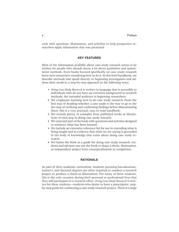ends with questions, illustrations, and activities to help prospective researchers apply information that was presented.

#### **KEY FEATURES**

Most of the information available about case study research seems to be written for people who already know a lot about qualitative and quantitative methods. Even books focused specifically on case study research leave new researchers wondering how to do it. In this brief handbook, we describe methods that speak directly to beginning investigators and address their needs in a step-by-step approach in the following ways:

- *Doing Case Study Research* is written in language that is accessible to individuals who do not have an extensive background in research methods; the intended audience is beginning researchers.
- We emphasize learning how to do case study research. From the first step of deciding whether a case study is the way to go to the last step of verifying and confirming findings before disseminating them, this is a very practical, easy-to-read handbook.
- We include plenty of examples from published works as illustrations of each step in doing case study research.
- We end each part of the book with questions and activities designed to reinforce what has been learned.
- We include an extensive reference list for use in extending what is being taught and as evidence that what we are saying is grounded in the body of knowledge that exists about doing case study research.
- We frame the book as a guide for doing case study research; students and advisors can use the book to shape a thesis, dissertation, or independent project from conceptualization to completion.

#### **RATIONALE**

As part of their academic curriculum, students pursuing baccalaureate, master's, and doctoral degrees are often required to conduct a research project or produce a thesis or dissertation. For many of these students, this is the only occasion during their personal or professional lives that they will participate in a research effort. *Doing Case Study Research* is written for these students—students who desire to have a prescriptive, stepby-step guide for conducting a case study research project. There is a large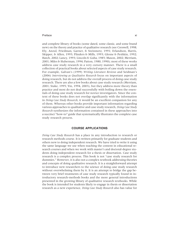and complete library of books (some dated, some classic, and some brand new) on the theory and practice of qualitative research (see Creswell, 1998; Ely, Anzul, Friedman, Garner, & Steinmetz, 1991; Erlandson, Harris, Skipper, & Allen, 1993; Flinders & Mills, 1993; Glesne & Peshkin, 1992; Hatch, 2002; Lancy, 1993; Lincoln & Guba, 1985; Mason, 2002; Merriam, 2001; Miles & Huberman, 1994; Patton, 1980, 1990); most of these works address case study research in a very cursory manner. There is a small collection of practical books about selected aspects of case study research. For example, Galvan's (1999) *Writing Literature Reviews* and Seidman's (2006) *Interviewing as Qualitative Research* focus on important aspects of doing research, but do not address the overall process of doing case study research. There are also a few books about case study research (Merriam, 2001; Stake, 1995; Yin, 1994, 2003), but they address more theory than practice and most do not deal successfully with boiling down the essentials of doing case study research for novice investigators. Since the content of these books does not overlap significantly with the information in *Doing Case Study Research*, it would be an excellent companion for any of them. Whereas other books provide important information regarding various approaches to qualitative and case study research, *Doing Case Study Research* synthesizes the information contained in these approaches into a succinct "how-to" guide that systematically illustrates the complete case study research process.

#### **COURSE APPLICATIONS**

*Doing Case Study Research* has a place in any introduction to research or research methods course. It is written primarily for graduate students and others new to doing independent research. We have tried to write it using the same language we use when teaching the content in educational research courses and when we work with master's and doctoral-degree students doing independent research for a thesis or dissertation. Case study research is a complex process. This book is not "case study research for dummies." However, it is also not a complex textbook addressing theories and concepts of doing qualitative research. It is a straightforward attempt to introduce new researchers to the science of doing case study research without overwhelming them by it. It is an attempt to bridge the gap between very brief treatments of case study research typically found in introductory research-methods books and the more general introductions presented in the growing library of qualitative research textbooks. While the book is intended for students likely to engage in thesis or dissertation research as a new experience, *Doing Case Study Research* also has value for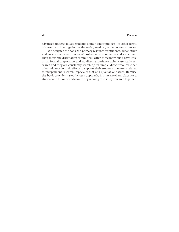advanced undergraduate students doing "senior projects" or other forms of systematic investigation in the social, medical, or behavioral sciences.

We designed the book as a primary resource for students, but another audience is the large number of professors who serve on and sometimes chair thesis and dissertation committees. Often these individuals have little or no formal preparation and no direct experience doing case study research and they are constantly searching for simple, direct resources that offer guidance in their efforts to support their students in matters related to independent research, especially that of a qualitative nature. Because the book provides a step-by-step approach, it is an excellent place for a student and his or her advisor to begin doing case study research together.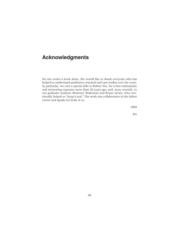## **Acknowledgments**

No one writes a book alone. We would like to thank everyone who has helped us understand qualitative research and case studies over the years. In particular, we owe a special debt to Robert Yin, for a first enthusiastic and interesting exposure more than 20 years ago, and, more recently, to our graduate students Shawnee Wakeman and Bryan Setser, who continually helped us "keep it real." The work was collaborative in the fullest extent and speaks for both of us.

DRH

BA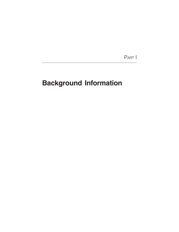PART I

# **Background Information**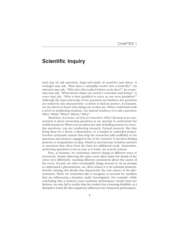## **Scientific Inquiry**

Each day we ask questions, large and small, of ourselves and others. A zoologist may ask, "How does a caterpillar evolve into a butterfly?" An educator may ask, "Why does this student behave as he does?" An economist may ask, "What factors shape our society's economic well-being?" A voter may ask, "Who is best qualified to serve as our next president?" Although the types and scope of our questions are limitless, the questions are united by one characteristic—a desire to find an answer. As humans, we are driven to know why things are as they are. When confronted with a novel or perplexing situation, our natural tendency is to ask a question: Who? What? When? Where? Why?

Therefore, in a sense, *all of us are researchers*. Why? Because at its core, research is about answering questions as we attempt to understand the world around us! When you set about the task of finding answers to everyday questions, you are conducting research. Formal research, like that being done for a thesis, a dissertation, or a funded or unfunded project, involves systematic actions that help the researcher add credibility to the questions and answers engaged in his or her research. It involves finding patterns or irregularities in data, which in turn become tentative answers to questions that often form the basis for additional study. Sometimes, answering questions is not as easy as it looks, for several reasons.

First, as humans, we sometimes observe things in different ways or incorrectly. People observing the same event often relate the details of the event very differently, reaching different conclusions about the causes of the event. Second, we often oversimplify things around us. In an attempt to understand a phenomenon, we often reduce it to its essential elements, thereby missing rich details that characterize the true nature of the phenomenon. Third, we sometimes fail to recognize or account for variables that are influencing a situation under investigation. For example, while concluding that a student's poor academic performance results from her laziness, we may fail to realize that the student has a learning disability or a disruptive home life that negatively influences her classroom performance.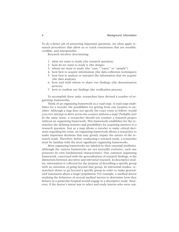To do a better job of answering important questions, we often apply research procedures that allow us to reach conclusions that are sensible, credible, and interpretable.

Research involves determining:

- 1. what we want to study (the research question)
- 2. how do we want to study it (the design)
- 3. whom we want to study (the "case," "cases," or "sample")
- 4. how best to acquire information (the data-collection techniques)
- 5. how best to analyze or interpret the information that we acquire (the data analysis)
- 6. how and with whom to share our findings (the dissemination process)
- 7. how to confirm our findings (the verification process).

To accomplish these tasks, researchers have devised a number of organizing frameworks.

Think of an organizing framework as a road map. A road map establishes for a traveler the possibilities for getting from one location to another. Although a map does not specify the exact route to follow, would you ever attempt to drive across the country without a map? Probably not! In the same sense, a researcher should not conduct a research project without an organizing framework. This framework establishes for the researcher the defining features and possibilities for acquiring answers to a research question. Just as a map allows a traveler to make critical decisions regarding his route, an organizing framework allows a researcher to make important decisions that may greatly impact the nature of the research study. Therefore, before conducting a research study, a researcher must be familiar with the most significant organizing frameworks.

Most organizing frameworks are labeled by their essential attributes. Although the various frameworks are not mutually exclusive, each one possesses its own fundamental characteristics. One common organizing framework, concerned with the generalization of research findings, is the distinction between *descriptive* and *inferential* research. In descriptive studies, information is collected for the purpose of describing a specific group with no intention of going beyond that group. In inferential studies, researchers desire to go beyond a specific group in order to make generalized statements about a larger population. For example, a medical doctor studying the behaviors of several medical interns to determine how they behave in a particular hospital would engage in a descriptive study. However, if the doctor's intent was to select and study interns who were rep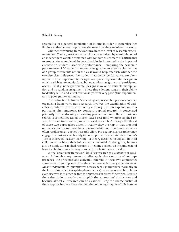resentative of a general population of interns in order to generalize her findings to that general population, she would conduct an inferential study.

Another organizing framework involves the level of research experimentation. True *experimental* research is characterized by manipulation of an independent variable combined with random assignment of participants to groups. An example might be a physiologist interested in the impact of exercise on students' academic performance. Comparing the academic performance of 30 students randomly assigned to an exercise class to that of a group of students not in the class would help establish whether the exercise class influenced the students' academic performance. An alternative to true experimental designs are quasi-experimental designs in which variables are manipulated but no random assignment of participants occurs. Finally, nonexperimental designs involve no variable manipulation and no random assignment. These three designs range in their ability to identify cause-and-effect relationships from very good (true experimental) to poor (nonexperimental).

The distinction between *basic* and *applied* research represents another organizing framework. Basic research involves the examination of variables in order to construct or verify a theory (i.e., an explanation of a particular phenomenon). By contrast, applied research is concerned primarily with addressing an existing problem or issue. Hence, basic research is sometimes called theory-based research, whereas applied research is sometimes called problem-based research. Although the thrust of these two approaches differ, in reality they overlap in that practical outcomes often result from basic research while contributions to a theory often result from an applied-research effort. For example, a researcher may engage in a basic-research study intended primarily to substantiate Bloom's (1984) theory of mastery learning—a theory designed to explain how all children can achieve their full academic potential. In doing this, he may also be conducting applied research by helping a school district understand how its children may be taught to perform better academically.

A final organizing framework classifies research as *quantitative* or *qualitative*. Although many research studies apply characteristics of both approaches, the principles and activities inherent in these two approaches allow researchers to plan and conduct their research in very different ways. Most fundamentally, quantitative researchers use numbers, normally in the form of statistics, to explain phenomena. Qualitative researchers, however, use words to describe trends or patterns in research settings. Because these descriptions greatly oversimplify the approaches' distinctions and because almost all research can be classified using the characteristics of these approaches, we have devoted the following chapter of this book to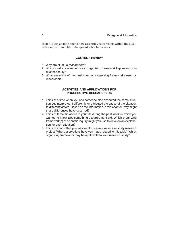their full explanation and to how case study research fits within the qualitative more than within the quantitative framework.

#### **CONTENT REVIEW**

- 1. Why are all of us researchers?
- 2. Why should a researcher use an organizing framework to plan and conduct her study?
- 3. What are some of the most common organizing frameworks used by researchers?

#### **ACTIVITIES AND APPLICATIONS FOR PROSPECTIVE RESEARCHERS**

- 1. Think of a time when you and someone else observed the same situation but interpreted it differently or attributed the cause of the situation to different factors. Based on the information in this chapter, why might those differences have occurred?
- 2. Think of three situations in your life during the past week in which you wanted to know why something occurred as it did. Which organizing framework(s) of scientific inquiry might you use to develop an explanation for each situation?
- 3. Think of a topic that you may want to explore as a case study research project. What observations have you made related to this topic? Which organizing framework may be applicable to your research study?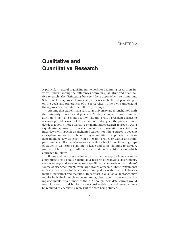# **Qualitative and Quantitative Research**

A particularly useful organizing framework for beginning researchers involves understanding the differences between qualitative and quantitative research. The distinctions between these approaches are numerous. Selection of the approach to use in a specific research effort depends largely on the goals and preferences of the researcher. To help you understand the approaches, consider the following example.

Assume that students at a particular university are disenchanted with the university's policies and practices. Student complaints are common, attrition is high, and morale is low. The university's president decides to research possible causes of this situation. In doing so, the president may decide to follow a more qualitative or quantitative research approach. Using a qualitative approach, the president would use information collected from interviews with specific disenchanted students or other sources to develop an explanation for the problem. Using a quantitative approach, the president might review statistics from other universities or gather and compare numbers reflective of reasons for leaving school from different groups of students (e.g., some planning to leave and some planning to stay). A number of factors might influence the president's decision about which approach to follow.

If time and resources are limited, a quantitative approach may be more appropriate. This is because quantitative research often involves instruments, such as surveys and tests, to measure specific variables, such as the students' source of disenchantment, from large groups of people. These instruments typically produce useful data in short time periods with reasonable investment of personnel and materials. In contrast, a qualitative approach may require individual interviews, focus groups, observations, a review of existing documents, or a number of these. Although these data sources would result in a wealth of rich information, considerable time and resources may be required to adequately represent the area being studied.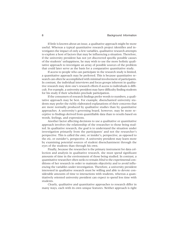If little is known about an issue, a qualitative approach might be more useful. Whereas a typical quantitative research project identifies and investigates the impact of only a few variables, qualitative research attempts to explore a host of factors that may be influencing a situation. Therefore, if the university president has not yet discovered specific possible causes of the students' unhappiness, he may wish to use the more holistic qualitative approach to investigate an array of possible sources of the problem that could later serve as the basis for a comparative quantitative study.

If access to people who can participate in the research study is limited, a quantitative approach may be preferred. This is because quantitative research can often be accomplished with minimal involvement of participants. In contrast, the individual interviews and focus groups inherent in qualitative research may slow one's research efforts if access to individuals is difficult. For example, a university president may have difficulty finding students for his study if their schedules preclude participation.

If the consumers of research findings prefer words to numbers, a qualitative approach may be best. For example, disenchanted university students may prefer the richly elaborated explanations of their concerns that are more normally produced by qualitative studies than by quantitative approaches. A university's governing board, however, may be more receptive to findings derived from quantifiable data than to results based on words, feelings, and expressions.

Another factor affecting decisions to use a qualitative or quantitative approach involves the relationship of the researcher to those being studied. In qualitative research, the goal is to understand the situation under investigation primarily from the participants' and not the researcher's perspective. This is called the *emic*, or insider's, perspective, as opposed to the *etic*, or outsider's, perspective. A university president may learn more by examining potential sources of student disenchantment through the eyes of the students than through his own.

Finally, because the researcher is the primary instrument for data collection and analysis in qualitative research, she must spend significant amounts of time in the environment of those being studied. In contrast, a quantitative researcher often seeks to remain *blind* to the experimental conditions of her research in order to maintain objectivity and to avoid influencing the variables under investigation. Therefore, a university president interested in qualitative research must be willing and able to devote considerable amounts of time to interactions with students, whereas a quantitatively oriented university president can expect to spend less time with students.

Clearly, qualitative and quantitative approaches to research differ in many ways, each with its own unique features. Neither approach is right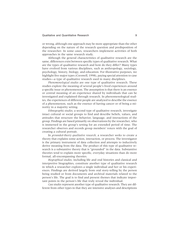or wrong, although one approach may be more appropriate than the other depending on the nature of the research question and predisposition of the researcher. In some cases, researchers implement activities of both approaches in the same research study.

Although the general characteristics of qualitative research are the same, differences exist between specific types of qualitative research. What are the types of qualitative research and how do they differ? Many types have evolved from various disciplines, such as anthropology, sociology, psychology, history, biology, and education. For illustrative purposes, we highlight five major types (Creswell, 1998), paying special attention to case studies—a type of qualitative research used in many disciplines.

*Phenomenological studies* are one type of qualitative research. These studies explore the meaning of several people's lived experiences around a specific issue or phenomenon. The assumption is that there is an essence or central meaning of an experience shared by individuals that can be investigated and explained through research. In phenomenological studies, the experiences of different people are analyzed to describe the essence of a phenomenon, such as the essence of having cancer or of being a minority in a majority setting.

*Ethnographic studies*, a second type of qualitative research, investigate intact cultural or social groups to find and describe beliefs, values, and attitudes that structure the behavior, language, and interactions of the group. Findings are based primarily on observations by the researcher, who is immersed in the group's setting for an extended period of time. The researcher observes and records group members' voices with the goal of creating a cultural portrait.

In *grounded-theory qualitative research*, a researcher seeks to create a theory that explains some action, interaction, or process. The investigator is the primary instrument of data collection and attempts to inductively derive meaning from the data. The product of this type of qualitative research is a substantive theory that is "grounded" in the data. Substantive theories tend to explain more specific, everyday situations than do more formal, all-encompassing theories.

*Biographical studies*, including life and oral histories and classical and interpretive biographies, constitute another type of qualitative research in which a researcher explores a single individual and her or his experiences. Findings are derived largely from oral story-telling by the person being studied or from documents and archival materials related to the person's life. The goal is to find and present themes that indicate important points in the person's life that truly reveal the individual.

*Case studies* represent another type of qualitative research. They are different from other types in that they are intensive analyses and descriptions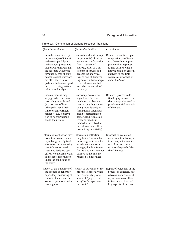| Quantitative Studies                                                                                                                                                                                                                                                                                                                                   | Qualitative Studies                                                                                                                                                                                                                                                                                                           | Case Studies                                                                                                                                                                                                                                 |
|--------------------------------------------------------------------------------------------------------------------------------------------------------------------------------------------------------------------------------------------------------------------------------------------------------------------------------------------------------|-------------------------------------------------------------------------------------------------------------------------------------------------------------------------------------------------------------------------------------------------------------------------------------------------------------------------------|----------------------------------------------------------------------------------------------------------------------------------------------------------------------------------------------------------------------------------------------|
| Researcher identifies topic<br>or question(s) of interest<br>and selects participants<br>and arranges procedures<br>that provide answers that<br>are accepted with prede-<br>termined degree of confi-<br>dence; research questions<br>are often stated in hy-<br>potheses that are accepted<br>or rejected using statisti-<br>cal tests and analyses. | Researcher identifies topic<br>or question( $s$ ) of inter-<br>est; collects information<br>from a variety of<br>sources, often as a par-<br>ticipant observer; and<br>accepts the analytical<br>task as one of discover-<br>ing answers that emerge<br>from information that is<br>available as a result of<br>the study.    | Research identifies topic<br>or question( $s$ ) of inter-<br>est, determines appro-<br>priate unit to represent<br>it, and defines what is<br>known based on careful<br>analysis of multiple.<br>sources of information<br>about the "case." |
| Research process may<br>vary greatly from con-<br>text being investigated<br>(e.g., survey of how<br>principals spend their<br>time) or appropriately<br>reflect it (e.g., observa-<br>tion of how principals<br>spend their time).                                                                                                                    | Research process is de-<br>signed to reflect, as<br>much as possible, the<br>natural, ongoing context<br>being investigated; in-<br>formation is often gath-<br>ered by participant ob-<br>servers (individuals ac-<br>tively engaged, im-<br>mersed, or involved in<br>the information collec-<br>tion setting or activity). | Research process is de-<br>fined by systematic se-<br>ries of steps designed to<br>provide careful analysis<br>of the case.                                                                                                                  |
| Information collection may<br>last a few hours or a few<br>days, but generally is of<br>short-term duration using<br>carefully constructed<br>measures designed spe-<br>cifically to generate valid<br>and reliable information<br>under the conditions of<br>the study.                                                                               | Information collection<br>may last a few months<br>or as long as it takes for<br>an adequate answer to<br>emerge; the time frame<br>for the study is often not<br>defined at the time the<br>research is undertaken.                                                                                                          | Information collection<br>may last a few hours, a<br>few days, a few months,<br>or as long as is neces-<br>sary to adequately "de-<br>fine" the case.                                                                                        |
| Report of the outcomes of<br>the process is generally<br>expository, consisting of<br>a series of statistical an-<br>swers to questions under<br>investigation.                                                                                                                                                                                        | Report of outcomes of the<br>process is generally nar-<br>rative, consisting of a<br>series of "pages to the<br>story" or "chapters to<br>the book."                                                                                                                                                                          | Report of outcomes of the<br>process is generally nar-<br>rative in nature, consist-<br>ing of a series of illus-<br>trative descriptions of<br>key aspects of the case.                                                                     |

**Table 2.1.** Comparison of General Research Traditions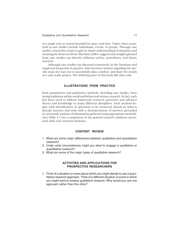of a single unit or system bounded by space and time. Topics often examined in case studies include individuals, events, or groups. Through case studies, researchers hope to gain in-depth understanding of situations and meaning for those involved. Merriam (2001) suggests that insights gleaned from case studies can directly influence policy, procedures, and future research.

Although case studies are discussed extensively in the literature and employed frequently in practice, little has been written regarding the specific steps one may use to successfully plan, conduct, and share the results of a case study project. The following part of this book fills that void.

#### **ILLUSTRATIONS FROM PRACTICE**

Both quantitative and qualitative methods, including case studies, have strong traditions within social and behavioral science research. In fact, each has been used to address important research questions and advance theory and knowledge in many different disciplines. Each method begins with identification of questions to be answered (based on what is already known) and ends with a documentation of answers grounded in systematic analysis of information gathered using appropriate methods. (See Table 2.1 for a comparison of the general research traditions associated with each research method.)

#### **CONTENT REVIEW**

- 1. What are some major differences between qualitative and quantitative research?
- 2. Under what circumstances might you elect to engage in qualitative or quantitative research?
- 3. What are some of the major types of qualitative research?

#### **ACTIVITIES AND APPLICATIONS FOR PROSPECTIVE RESEARCHERS**

1. Think of a situation or event about which you might decide to use a quantitative research approach. Think of a different situation or event in which you might want to employ qualitative research. Why would you use one approach rather than the other?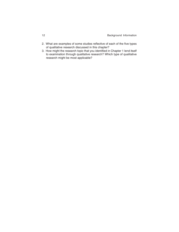- 2. What are examples of some studies reflective of each of the five types of qualitative research discussed in this chapter?
- 3. How might the research topic that you identified in Chapter 1 lend itself to examination through qualitative research? Which type of qualitative research might be most applicable?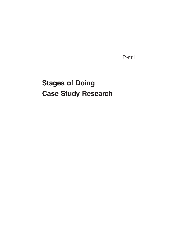PART II

# **Stages of Doing Case Study Research**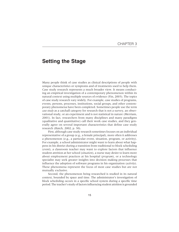### **Setting the Stage**

Many people think of case studies as clinical descriptions of people with unique characteristics or symptoms and of treatments used to help them. Case study research represents a much broader view. It means conducting an empirical investigation of a contemporary phenomenon within its natural context using multiple sources of evidence (Yin, 2003). The topics of case study research vary widely. For example, case studies of programs, events, persons, processes, institutions, social groups, and other contemporary phenomena have been completed. Sometimes people use the term *case study* as a catchall category for research that is not a survey, an observational study, or an experiment and is not statistical in nature (Merriam, 2001). In fact, researchers from many disciplines and many paradigms (qualitative and quantitative) call their work case studies, and they generally agree on several important characteristics that define case study research (Hatch, 2002, p. 30).

First, although case study research sometimes focuses on an individual representative of a group (e.g., a female principal), more often it addresses a phenomenon (e.g., a particular event, situation, program, or activity). For example, a school administrator might want to learn about what happens in his district during a transition from traditional to block scheduling (*event*), a classroom teacher may want to explore factors that influence student attrition at her school (*situation*), a nurse may desire to learn more about employment practices at his hospital (*program*), or a technology specialist may seek greater insights into decision making processes that influence the adoption of software programs in his organization (*activity*). These phenomena represent the focus of most case studies but are not mutually exclusive.

Second, the phenomenon being researched is studied in its natural context, bounded by space and time. The administrator's investigation of block scheduling occurs in a specific school system during a specific time period. The teacher's study of factors influencing student attrition is grounded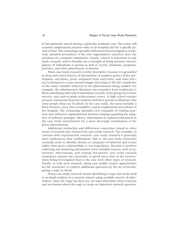in her particular school during a particular academic year. The nurse will examine employment practices only in his hospital and for a specific period of time. The technology specialist will restrict his investigation of software adoption procedures to his own organization's practices since the purchase of a computer mainframe. Clearly, context is important in case study research, and its benefits are a strength of doing intensive investigations of individuals or groups as well as events, situations, programs, activities, and other phenomena of interest.

Third, case study research is richly descriptive, because it is grounded in deep and varied sources of information. It employs quotes of key participants, anecdotes, prose composed from interviews, and other literary techniques to create mental images that bring to life the complexity of the many variables inherent in the phenomenon being studied. For example, the administrator illustrates the transition from traditional to block scheduling with school attendance records, focus group interviews, surveys, and end-of-grade achievement scores. A high school teacher presents statements from her students and their parents to illustrate why some people drop out of school. In her case study, the nurse includes a brief narrative story that exemplifies typical employment procedures at her hospital. The technology specialist cites examples of existing practices that influence organizational decision-making regarding the adoption of software packages. Hence, information is explored and mined in the case study environment for a more thorough examination of the given phenomenon.

Additional similarities and differences sometimes found in other forms of research also characterize case study research. For example, in contrast with experimental research, case study research is generally more exploratory than confirmatory; that is, the case study researcher normally seeks to identify themes or categories of behavior and events rather than prove relationships or test hypotheses. Because it involves collecting and analyzing information from multiple sources, such as interviews, observations, and existing documents, case study research sometimes requires the researcher to spend more time in the environment being investigated than is the case with other types of research. Finally, as with most research, doing case studies creates opportunities for the researcher to explore additional questions by the act of investigating a topic in detail.

Doing case study research means identifying a topic that lends itself to in-depth analysis in a natural context using multiple sources of information. Once the stage has been set, we must determine what is known and not known about the topic to create an important research question.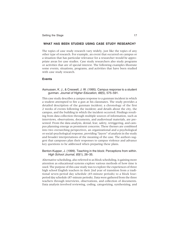#### **WHAT HAS BEEN STUDIED USING CASE STUDY RESEARCH?**

The topics of case study research vary widely, just like the topics of any other type of research. For example, an event that occurred on campus or a situation that has particular relevance for a researcher would be appropriate areas for case studies. Case study researchers also study programs or activities that are of special interest. The following examples illustrate some events, situations, programs, and activities that have been studied with case study research.

#### **Events**

#### Asmussen, K. J., & Creswell, J. W. (1995). Campus response to a student gunman. Journal of Higher Education, 66(5), 575–591.

This case study describes a campus response to a gunman incident in which a student attempted to fire a gun at his classmates. The study provides a detailed description of the gunman incident; a chronology of the first 2 weeks of events following the incident; and details about the city, the campus, and the building in which the incident occurred. Findings resulting from data collection through multiple sources of information, such as interviews, observations, documents, and audiovisual materials, are presented. From the data analysis, denial, fear, safety, retriggering, and campus planning emerge as prominent concerns. These themes are combined into two overarching perspectives, an organizational and a psychological or social-psychological response, providing "layers" of analysis in the study and broader interpretations of the meaning of the case. The authors suggest that campuses plan their responses to campus violence and advance key questions to be addressed when preparing these plans.

#### Benton-Kupper, J. (1999). Teaching in the block: Perceptions from within. High School Journal, 83(1), 26–35.

Alternative scheduling, also referred to as block scheduling, is gaining more attention as educational systems explore various methods of how time is used. The purpose of this case study was to explore the experiences of three high school English teachers in their 2nd year of transition from a traditional seven-period day schedule (45-minute periods) to a block fourperiod day schedule (87-minute periods). Data were gathered from the three teachers through interviews, observations, and collection of documents. Data analysis involved reviewing, coding, categorizing, synthesizing, and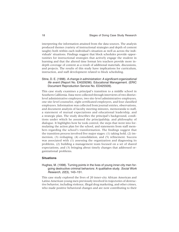interpreting the information attained from the data sources. The analysis produced themes (variety of instructional strategies and depth of content taught) both within each individual's situation as well as across the individuals' situations. Findings suggest that block schedules provide opportunities for instructional strategies that actively engage the student in learning and that the altered time format lets teachers provide more indepth coverage of content as a result of additional materials, discussions, and projects. The results of this study have implications for curriculum, instruction, and staff development related to block scheduling.

#### Stine, D. E. (1998). A change in administration: A significant organizational life event (Report No. EA029296). Educational Management. (ERIC Document Reproduction Service No. ED425509).

This case study examines a principal's transition to a middle school in Southern California. Data were collected through interviews of two districtlevel administrative employees, two site-level administrative employees, one site-level counselor, eight certificated employees, and four classified employees. Information was collected from journal entries, observations, and document analysis of faculty meeting minutes, memoranda to staff, a statement of mutual expectations and educational leadership, and a strategic plan. The study describes the principal's background, conditions under which he assumed the principalship, and philosophy of dialogue. It highlights how he took control, the steps that went into formulating the action plan for the school, and statements from staff members regarding the school's transformation. The findings suggest that the transition process involved five major stages: (1) taking hold, (2) immersion, (3) reshaping, (4) consolidation, and (5) refinement. Success was associated with (1) assessing the organization and diagnosing its problems, (2) building a management team focused on a set of shared expectations, and (3) bringing about timely changes that addressed organizational problems.

#### **Situations**

Hughes, M. (1998). Turning points in the lives of young inner-city men forgoing destructive criminal behaviors: A qualitative study. Social Work Research, 22(3), 143–151.

This case study explored the lives of 20 inner-city African American and Latino American young men previously involved in trajectories of destructive behavior, including violence, illegal drug marketing, and other crimes, who made positive behavioral changes and are now contributing to their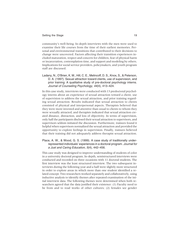community's well-being. In-depth interviews with the men were used to examine their life courses from the time of their earliest memories. Personal and environmental transitions that contributed to their decisions to change were uncovered. Factors affecting their transition experiences included maturation, respect and concern for children, fear of physical harm or incarceration, contemplation time, and support and modeling by others. Implications for social service providers, policymakers, and youth program staff are discussed.

Ladany, N., O'Brien, K. M., Hill, C. E., Melincoff, D. S., Knox, S., & Peterson, D. A. (1997). Sexual attraction toward clients, use of supervision, and prior training: A qualitative study of pre-doctoral psychology interns. Journal of Counseling Psychology, 44(4), 413–424.

In this case study, interviews were conducted with 13 predoctoral psychology interns about an experience of sexual attraction toward a client, use of supervision to address the sexual attraction, and prior training regarding sexual attraction. Results indicated that sexual attraction to clients consisted of physical and interpersonal aspects. Therapists believed that they were more invested and attentive than usual to clients to whom they were sexually attracted, and therapists indicated that sexual attraction created distance, distraction, and loss of objectivity. In terms of supervision, only half the participants disclosed their sexual attraction to supervisors, and supervisors seldom initiated the discussion. Furthermore, trainees found it helpful when supervisors normalized the sexual attraction and provided the opportunity to explore feelings in supervision. Finally, trainees believed that their training did not adequately address therapist sexual attraction.

Place, A. W., & Wood, G. S. (1999). A case study of traditionally underrepresented individuals' experiences in a doctoral program. Journal for a Just and Caring Education, 5(4), 442–456.

This case study was designed to improve understanding of students of color in a university doctoral program. In-depth, semistructured interviews were conducted and recorded on three occasions with 11 doctoral students. The first interview was the least structured interview. The two subsequent interviews during the following year and a half were slightly more structured in order to explore areas in which more than one student identified a related concept. Two researchers worked separately and collaboratively, using inductive analysis to identify themes after repeated examination of the initial interview data. The following themes were determined when both researchers agreed that the data justified their existence: (1) Faculty need to be from and to read works of other cultures; (2) females see gender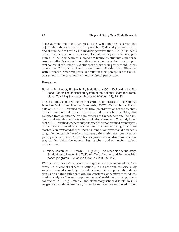issues as more important than racial issues when they are separated but object when they are dealt with separately; (3) diversity is multifaceted and should be dealt with as individuals perceive the issue; (4) students often experience apprehension and self-doubt as they enter doctoral programs; (5) as they begin to succeed academically, students experience stronger self-efficacy but do not view the doctorate as their most important source of self-esteem; (6) students believe their presence influences others; and (7) students of color have more similarities than differences with European American peers, but differ in their perceptions of the extent to which the program has a multicultural perspective.

#### **Programs**

Bond, L. B., Jaeger, R., Smith, T., & Hattie, J. (2001). Defrocking the National Board: The certification system of the National Board for Professional Teaching Standards. Education Matters, 1(2), 79–82.

The case study explored the teacher certification process of the National Board for Professional Teaching Standards (NBPTS). Researchers collected data on 65 NBPTS-certified teachers through observations of the teachers in their classrooms, documents that reflected the teachers' abilities, data collected from questionnaires administered to the teachers and their students, and interviews of the teachers and selected students. The study found that NBPTS-certified teachers outperformed their noncertified counterparts on many measures of good teaching and that students taught by these teachers demonstrated deeper understanding of concepts than did students taught by noncertified teachers. However, the study raises questions regarding whether the NBPTS certification process is a valid and cost-effective way of identifying the nation's best teachers and enhancing student achievement.

D'Emidio-Caston, M., & Brown, J. H. (1998). The other side of the story: Student narratives on the California Drug, Alcohol, and Tobacco Education programs. Evaluation Review, 22(1), 95–117.

Within the context of a large-scale, comprehensive evaluation of the California Drug Alcohol Tobacco Education (DATE) program, this case study sought to extend knowledge of student perceptions of preventive education using a naturalistic approach. The constant comparative method was used to analyze 40 focus group interviews of at-risk and thriving groups conducted in 11 high, middle, and elementary school districts. Results suggest that students use "story" to make sense of prevention education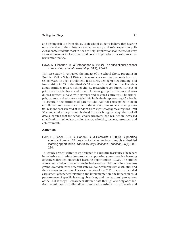and distinguish use from abuse. High school students believe that hearing only one side of the substance use/abuse story and strict expulsion policies alienate students most in need of help. Implications for the use of story as an assessment tool are discussed, as are implications for substance use prevention policy.

Howe, K., Eisenhart, M., & Betebenner, D. (2002). The price of public school choice. Educational Leadership, 59(7), 20–25.

This case study investigated the impact of the school choice programs in Boulder Valley School District. Researchers examined records from six school years on open enrollment, test scores, demographics, funding, and fund-raising in 55 of the district's 57 schools. In addition, to collect data about attitudes toward school choice, researchers conducted surveys of principals by telephone and then held focus group discussions and conducted written surveys with parents and selected educators. The principals, parents, and educators totaled 466 individuals representing 43 schools. To ascertain the attitudes of parents who had not participated in open enrollment and were not active in the schools, researchers called potential respondents selected at random from eight geographical regions until 30 completed surveys were obtained from each region. A synthesis of all data suggested that the school choice programs had resulted in increased stratification of schools according to race, ethnicity, income, resources, and achievement.

#### **Activities**

Horn, E., Lieber, J., Li, S., Sandall, S., & Schwartz, I. (2000). Supporting young children's IEP goals in inclusive settings through embedded learning opportunities. Topics in Early Childhood Education, 20(4), 208– 224.

This study presents three cases designed to assess the feasibility of teachers in inclusive early education programs supporting young people's learning objectives through embedded learning opportunities (ELO). The studies were conducted in three separate inclusive early childhood education programs located in three different states on four children with disabilities and their classroom teachers. The examination of the ELO procedure included assessment of teachers' planning and implementation, the impact on child performance of specific learning objectives, and the teachers' perceptions of the ELO strategy. Researchers attained data through a variety of collection techniques, including direct observation using strict protocols and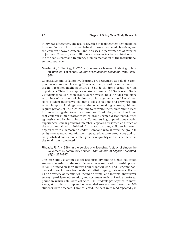interviews of teachers. The results revealed that all teachers demonstrated increases in use of instructional behaviors toward targeted objectives, and the children showed concomitant increases in performance of targeted objectives. However, clear differences between teachers existed regarding the consistency and frequency of implementation of the instructional support strategies.

Mueller, A., & Fleming, T. (2001). Cooperative learning: Listening to how children work at school. Journal of Educational Research, 94(5), 259– 366.

Cooperative and collaborative learning are recognized as valuable components of classroom learning. However, many questions remain regarding how teachers might structure and guide children's group-learning experiences. This ethnographic case study examined 29 Grade 6 and Grade 7 students who worked in groups over 5 weeks. Data included audiotape recordings of six groups of children working together across 11 work sessions, student interviews, children's self-evaluations and drawings, and research reports. Findings revealed that when working in groups, children require periods of unstructured time to organize themselves and to learn how to work together toward a mutual goal. In addition, researchers found that children in an autocratically led group seemed discontented, often aggressive, and lacking in initiative. Youngsters in groups without a leader experienced similar problems: members appeared frustrated and much of the work remained unfinished. In marked contrast, children in groups organized with a democratic leader—someone who allowed the group to set its own agendas and priorities—appeared far more productive and socially satisfied and demonstrated greater originality and independence in the work they completed.

Rhoads, R. A. (1998). In the service of citizenship: A study of student involvement in community service. The Journal of Higher Education, 69(3), 277–297.

This case study examines social responsibility among higher-education students, focusing on the role of education as source of citizenship preparation. Founded on John Dewey's philosophical work and using methodological strategies associated with naturalistic inquiry, data were collected using a variety of techniques, including formal and informal interviews, surveys, participant observation, and document analysis. During the 6-year period in which data were collected, 108 students participated in interviews, 66 students completed open-ended surveys, and more than 200 students were observed. Once collected, the data were read repeatedly in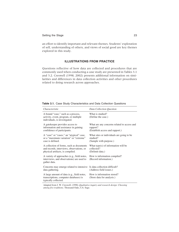an effort to identify important and relevant themes. Students' exploration of self, understanding of others, and views of social good are key themes explored in this study.

### **ILLUSTRATIONS FROM PRACTICE**

Questions reflective of how data are collected and procedures that are commonly used when conducting a case study are presented in Tables 3.1 and 3.2. Creswell (1998, 2002) presents additional information on similarities and differences in data collection activities and other procedures related to doing research across approaches.

| Characteristic                                                                                               | Data Collection Question                                 |
|--------------------------------------------------------------------------------------------------------------|----------------------------------------------------------|
| A bound "case," such as a process,<br>activity, event, program, or multiple<br>individuals, is investigated. | What is studied?<br>(Define the case.)                   |
| A gate keeper provides access to                                                                             | What are any concerns related to access and              |
| information and assistance in gaining                                                                        | rapport?                                                 |
| confidence of participants.                                                                                  | (Establish access and rapport.)                          |
| A "case" or "cases," an "atypical" case,                                                                     | What sites or individuals are going to be.               |
| or a "maximum variation" or "extreme"                                                                        | studied?                                                 |
| case is defined.                                                                                             | (Sample with purpose.)                                   |
| A collection of forms, such as documents                                                                     | What type $(s)$ of information will be                   |
| and records, interviews, observations, or                                                                    | collected?                                               |
| physical artifacts, is compiled.                                                                             | (Delimit data.)                                          |
| A variety of approaches (e.g., field notes,<br>interviews, and observations) are used to<br>gather data.     | How is information compiled?<br>(Record information.)    |
| Concerns may emerge related to intensive.                                                                    | Is data collection difficult?                            |
| data gathering.                                                                                              | (Address field issues.)                                  |
| A large amount of data (e.g., field notes,<br>transcriptions, computer databases) is<br>typically collected. | How is information stored?<br>(Store data for analysis.) |

**Table 3.1.** Case Study Characteristics and Data Collection Questions

Adapted from J. W. Creswell. (1998). *Qualitative inquiry and research design: Choosing among five traditions.* Thousand Oaks, CA: Sage.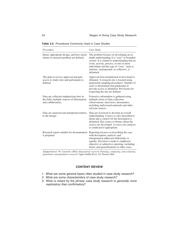| Procedure                                                                                                   | Case Study                                                                                                                                                                                                                                                                                      |
|-------------------------------------------------------------------------------------------------------------|-------------------------------------------------------------------------------------------------------------------------------------------------------------------------------------------------------------------------------------------------------------------------------------------------|
| Intent, appropriate design, and how intent<br>relates to research problem are defined.                      | The problem focuses on developing an in-<br>depth understanding of a "case" or bounded<br>system. It is related to understanding that an<br>event, activity, process, or one or more<br>individuals and the type of "case," such as<br>intrinsic, instrumental, or collective, is<br>delimited. |
| The plan to receive approval and gain<br>access to study sites and participants is<br>defined.              | Approval from institutional review board is<br>obtained. A research site is located using<br>purposeful sampling procedures. Number of<br>cases is determined and gatekeeper to<br>provide access is identified. Provisions for<br>respecting the site are defined.                             |
| Data are collected emphasizing time in<br>the field, multiple sources of information,<br>and collaboration. | Extensive information is gathered using<br>multiple forms of data collection<br>(observations, interviews, documents),<br>including audiovisual materials and other<br>relevant sources.                                                                                                        |
| Data are analyzed and interpreted relative<br>to the design.                                                | Data are reviewed to develop an overall<br>understanding. Case(s) is (are) described in<br>detail and a context for the description is<br>delimited. Key issues or themes about the<br>case(s) are developed. A cross-case analysis<br>is conducted if appropriate.                             |
| Research report suitable for dissemination<br>is prepared.                                                  | Reporting focuses on describing the case<br>with description, analysis, and<br>interpretation addressed differently or<br>equally. Decision is made to emphasize<br>objective or subjective reporting, including<br>biases and generalizations to other cases.                                  |

**Table 3.2.** Procedures Commonly Used in Case Studies

Adapted from J. W. Creswell. (2002). *Educational research: Planning, conducting, and evaluating quantitative and qualitative research*. Upper Saddle River, NJ: Prentice Hall.

### **CONTENT REVIEW**

- 1. What are some general topics often studied in case study research?
- 2. What are some characteristics of case study research?
- 3. What is meant by the phrase case study research is generally more exploratory than confirmatory?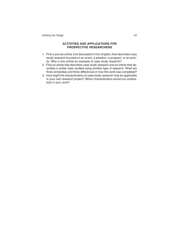# **ACTIVITIES AND APPLICATIONS FOR PROSPECTIVE RESEARCHERS**

- 1. Find a journal article (not discussed in this chapter) that describes case study research focused on an event, a situation, a program, or an activity. Why is this article an example of case study research?
- 2. Find an article that describes case study research and an article that describes a similar topic studied using another type of research. What are three similarities and three differences in how this work was completed?
- 3. How might the characteristics of case study research may be applicable to your own research project? Which characteristics would you emphasize in your work?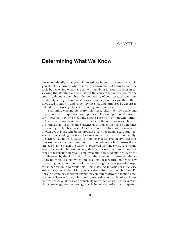# **Determining What We Know**

Once you identify what you will investigate in your case study research, you should determine what is already known and not known about the topic by reviewing what has been written about it. Your purposes in reviewing the literature are to establish the conceptual foundation for the study, to define and establish the importance of your research question, to identify strengths and weaknesses of models and designs that others have used to study it, and to identify the style and form used by experts to extend the knowledge base surrounding your question.

Examining existing literature helps researchers identify viable and important research questions or hypotheses. For example, an administrator interested in block scheduling should base his work on what others believe about how classes are scheduled and the need for research demonstrating that this innovative practice does or does not make a difference in how high schools educate America's youth. Information on what is known about block scheduling provides a basis for framing case study research on scheduling practices. A classroom teacher interested in identifying factors that influence student attrition may discover a theory suggesting that students sometimes drop out of school when teachers' instructional strategies fail to match the students' preferred learning styles. As a result, when researching her own school, this teacher may want to explore the types of instruction normally employed and how students' achievement is influenced by that instruction. In another situation, a nurse wanting to know more about employment practices may realize through her review of existing literature that discriminatory hiring practices pervade hospitals in her region. As a result, this nurse may elect to focus her initial case study questions on the hiring practices that exist in her own hospital. Finally, a technology specialist examining computer software adoption practices may discover from professional journals that companies often choose software based on its cost and availability more than on its usefulness. With this knowledge, the technology specialist may question his company's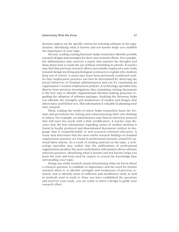decision makers on the specific criteria for selecting software in his organization. Identifying what is known and not known helps you establish the importance of your topic.

Second, reading existing literature helps researchers identify possible research designs and strategies for their own research efforts. For example, the administrator may uncover a report that matches his thoughts and ideas about how to study the use of block scheduling in schools. A teacher may find that previous research efforts successfully employed a case study research design involving psychological constructs to explain why students drop out of school. A nurse may learn from previously conducted studies that employment practices can best be determined by observing the actual behaviors of hospital administrators and not by examining an organization's written employment policies. A technology specialist may discern from previous investigations that examining existing documents is the best way to identify organizational decision-making processes regarding the adoption of software packages. Studying the literature helps you identify the strengths and weaknesses of models and designs that others have used before you. This information is valuable in planning your own research.

Third, reading the works of others helps researchers learn the formats and procedures for writing and communicating their own findings to others. For example, an administrator may find an interview protocol that will meet her needs with a little modification. A teacher may discover that the best information regarding causes of student attrition is found in locally produced and disseminated documents written in language that is comprehensible to non-research-oriented educators. A nurse may determine that the most useful research findings on hospital employment practices are found in professional journals created by national labor unions. As a result of reading material on his topic, a technology specialist may realize that the publications of professional organizations produce the most authoritative information about software selection practices. Identifying what is known and not known helps you learn the style and form used by experts to extend the knowledge base surrounding your topic.

Doing case study research means determining what we know about a research question to establish its importance and the need for further research about it, to identify strengths and weaknesses of previous research, and to identify areas of sufficient and insufficient study as well as methods used to study it. Once you have established the questions and need for your study, you are ready to select a design to guide your research effort.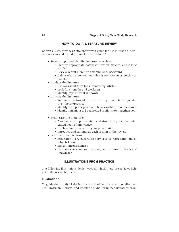# **HOW TO DO A LITERATURE REVIEW**

Galvan (1999) provides a straightforward guide for use in writing literature reviews and includes some key "directions."

- Select a topic and identify literature to review:
	- Identify appropriate databases, review articles, and classic studies
	- Review recent literature first and work backward
	- Define what is known and what is not known as quickly as possible
- Analyze the literature:
	- Use consistent form for summarizing articles
	- Look for strengths and weakness
	- Identify gaps in what is known
- Criticize the literature:
	- Summarize nature of the research (e.g., quantitative/qualitative, theory/practice)
	- Identify who participated and how variables were measured
	- Identify limitations to be addressed in efforts to strengthen your research
- Synthesize the literature:
	- Avoid note card presentation and strive to represent an integrated body of knowledge
	- Use headings to organize your presentation
	- Introduce and summarize each section of the review
- Document the literature:
	- Move from very general to very specific representations of what is known
	- Explain inconsistencies
	- Use tables to compare, contrast, and summarize bodies of knowledge

# **ILLUSTRATIONS FROM PRACTICE**

The following illustrations depict ways in which literature reviews help guide the research process.

## **Illustration 1**

To guide their study of the impact of school culture on school effectiveness, Rossman, Corbett, and Firestone (1984) examined literatures from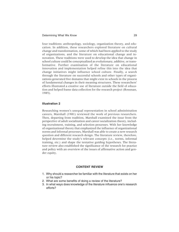four traditions: anthropology, sociology, organization theory, and education. In addition, these researchers explored literature on cultural change and transformation, some of which had been applied to the study of organizations, and the literature on educational change and innovation. These traditions were used to develop the idea that change in school culture could be conceptualized as evolutionary, additive, or transformative. Further examination of the literature on educational innovation and implementation helped refine this into the idea that change initiatives might influence school culture. Finally, a search through the literature on successful schools and other types of organizations generated five domains that might exist in schools in the process of fundamental changes in their meaning structures. These researchers' efforts illustrated a creative use of literature outside the field of education and helped frame data collection for the research project (Rossman, 1985).

### **Illustration 2**

Researching women's unequal representation in school administration careers, Marshall (1981) reviewed the work of previous researchers. Then, departing from tradition, Marshall examined the issue from the perspective of adult socialization and career socialization theory, including recruitment, training, and selection processes. With her knowledge of organizational theory that emphasized the influence of organizational norms and informal processes, Marshall was able to create a new research question and different research design. The literature review, therefore, helped determine the study's relevant concepts (i.e., norms, informal training, etc.) and shape the tentative guiding hypotheses. The literature review also established the significance of the research for practice and policy with an overview of the issues of affirmative action and gender equity.

### **CONTENT REVIEW**

- 1. Why should a researcher be familiar with the literature that exists on her or his topic?
- 2. What are some benefits of doing a review of the literature?
- 3. In what ways does knowledge of the literature influence one's research efforts?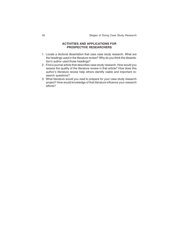# **ACTIVITIES AND APPLICATIONS FOR PROSPECTIVE RESEARCHERS**

- 1. Locate a doctoral dissertation that uses case study research. What are the headings used in the literature review? Why do you think the dissertation's author used those headings?
- 2. Find a journal article that describes case study research. How would you assess the quality of the literature review in that article? How does this author's literature review help others identify viable and important research questions?
- 3. What literature would you read to prepare for your case study research project? How would knowledge of that literature influence your research efforts?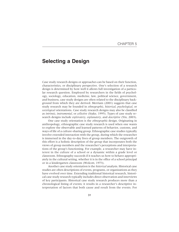# **Selecting a Design**

Case study research designs or approaches can be based on their function, characteristics, or disciplinary perspective. One's selection of a research design is determined by how well it allows full investigation of a particular research question. Employed by researchers in the fields of psychology, sociology, education, medicine, law, political science, government, and business, case study designs are often related to the disciplinary background from which they are derived. Merriam (2001) suggests that case study research may be founded in *ethnographic*, *historical*, *psychological*, or *sociological* orientations. Case study research designs may also be classified as *intrinsic*, *instrumental*, or *collective* (Stake, 1995). Types of case study research designs include *exploratory*, *explanatory*, and *descriptive* (Yin, 2003).

One case study orientation is the *ethnographic* design. Originating in anthropology, ethnographic case study research is used when one wants to explore the observable and learned patterns of behavior, customs, and ways of life of a culture-sharing group. Ethnographic case studies typically involve extended interaction with the group, during which the researcher is immersed in the day-to-day lives of group members. The outgrowth of this effort is a holistic description of the group that incorporates both the views of group members and the researcher's perceptions and interpretations of the group's functioning. For example, a researcher may have interest in the culture of a school or a dynamic within a grade level or classroom. Ethnography succeeds if it teaches us how to behave appropriately in the cultural setting, whether it is in the office of a school principal or in a kindergarten classroom (Wolcott, 1973).

Another case study orientation is the *historical* analysis. Historical case studies are often descriptions of events, programs, or organizations as they have evolved over time. Extending traditional historical research, historical case study research typically includes direct observation and interviews of key participants. Historical case study research produces more than a chronological listing of events; it results in a researcher's descriptive interpretation of factors that both cause and result from the events. For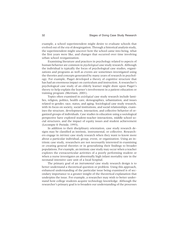example, a school superintendent might desire to evaluate schools that evolved out of the era of desegregation. Through a historical analysis study, the superintendent might uncover how the school came into being, what the first years were like, and changes that occurred over time involving urban school reorganization.

Examining literature and practices in psychology related to aspects of human behavior are common in *psychological* case study research. Although the individual is typically the focus of psychological case studies, organizations and programs as well as events are sometimes investigated using the theories and concepts generated by many years of research in psychology. For example, Piaget developed a theory of cognitive structure that has had an enormous impact on curriculum and instruction. A researcher's psychological case study of an elderly learner might draw upon Piaget's theory to help explain the learner's involvement in a patient education or training program (Merriam, 2001).

Topics often examined in *sociological* case study research include families, religion, politics, health care, demographics, urbanization, and issues related to gender, race, status, and aging. Sociological case study research, with its focus on society, social institutions, and social relationships, examines the structure, development, interaction, and collective behavior of organized groups of individuals. Case studies in education using a sociological perspective have explored student-teacher interactions, middle school social structures, and the impact of equity issues and student achievement (Lecompte & Preissle, 1993).

In addition to their disciplinary orientation, case study research designs may be classified as intrinsic, instrumental, or collective. Researchers engage in *intrinsic* case study research when they want to know more about a particular individual, group, event, or organization. Using an intrinsic case study, researchers are not necessarily interested in examining or creating general theories or in generalizing their findings to broader populations. For example, an intrinsic case study may occur when a teacher explores the extracurricular activities of a poorly performing student or when a nurse investigates an abnormally high infant mortality rate in the neonatal intensive care unit of a local hospital.

The primary goal of an *instrumental* case study research design is to better understand a theoretical question or problem. Using this approach, enhanced understanding of the particular issue being examined is of secondary importance to a greater insight of the theoretical explanation that underpins the issue. For example, a researcher may wish to better understand how college students acquire technology knowledge. Although the researcher's primary goal is to broaden our understanding of the processes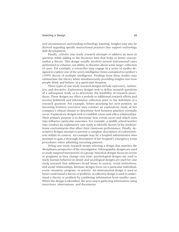and circumstances surrounding technology learning, insights may also be derived regarding specific instructional practices that support technology skill development.

Finally, *collective* case study research attempts to address an issue in question while adding to the literature base that helps us better conceptualize a theory. This design usually involves several instrumental cases performed to enhance our ability to theorize about some larger collection of cases. For example, a researcher may engage in a series of studies designed to explore one of the seven intelligence forms contained in Gardner's (1999) theory of multiple intelligence. Findings from these studies may substantiate the theory while simultaneously providing insights into how people think and behave in a particular situation.

Three types of case study research designs include *exploratory*, *explanatory*, and *descriptive*. Exploratory designs seek to define research questions of a subsequent study or to determine the feasibility of research procedures. These designs are often a prelude to additional research efforts and involve fieldwork and information collection prior to the definition of a research question. For example, before assuming her new position, an incoming business executive may conduct an exploratory study of her company's ethical climate to determine how business practices normally occur. Explanatory designs seek to establish cause-and-effect relationships. Their primary purpose is to determine how events occur and which ones may influence particular outcomes. For example, a middle school teacher may conduct an explanatory case study to identify factors in his students' home environments that affect their classroom performance. Finally, descriptive designs attempt to present a complete description of a phenomenon within its context. An example may be a hospital administrator who attempts to gain a thorough description of her hospital's emergency room procedures when admitting incoming patients.

Doing case study research means selecting a design that matches the disciplinary perspective of the investigation. Ethnographic designs are used to study targeted interactions of a group; historical designs focus on events or programs as they change over time; psychological designs are used to study human behavior in detail; and sociological designs are used for case study research that addresses broad issues in society, social institutions, and social relationships. Intrinsic designs focus on a particular individual, event, situation, program, or activity. An instrumental design is used to better understand a theory or problem. A collective design is used to understand a theory or problem by combining information from smaller cases. When the design is identified, the next step is gathering information using interviews, observations, and documents.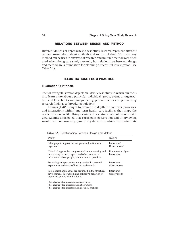## **RELATIONS BETWEEN DESIGN AND METHOD**

Different designs or approaches to case study research represent different general assumptions about methods and sources of data. Of course, any method can be used in any type of research and multiple methods are often used when doing case study research, but relationships between design and method are a foundation for planning a successful investigation (see Table 5.1).

### **ILLUSTRATIONS FROM PRACTICE**

### **Illustration 1: Intrinsic**

The following illustration depicts an *intrinsic* case study in which our focus is to learn more about a particular individual, group, event, or organization and less about examining/creating general theories or generalizing research findings to broader populations.

Kalnins (1986) sought to examine in depth the contexts, processes, and interactions within long-term health-care facilities that shape the residents' views of life. Using a variety of case study data collection strategies, Kalnins anticipated that participant observation and interviewing would run concurrently, producing data with which to substantiate

| Design                                                                                                                                                             | Method                                               |
|--------------------------------------------------------------------------------------------------------------------------------------------------------------------|------------------------------------------------------|
| Ethnographic approaches are grounded in firsthand<br>experience.                                                                                                   | Interviews <sup>1</sup><br>Observations <sup>2</sup> |
| Historical approaches are grounded in representing and<br>interpreting records, papers, and other sources of<br>information about people, phenomena, or practices. | Document analyses <sup>3</sup><br><b>Interviews</b>  |
| Psychological approaches are grounded in personal<br>experiences and ways of looking at the world.                                                                 | <b>Interviews</b><br><b>Observations</b>             |
| Sociological approaches are grounded in the structure,<br>development, interaction, and collective behavior of<br>organized groups of individuals.                 | <b>Interviews</b><br><b>Observations</b>             |

**Table 5.1.** Relationships Between Design and Method

<sup>&</sup>lt;sup>1</sup> See chapter 6 for information on interviews.

<sup>&</sup>lt;sup>2</sup> See chapter 7 for information on observations.

<sup>&</sup>lt;sup>3</sup> See chapter 8 for information on document analyses.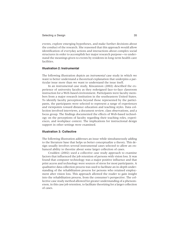events, explore emerging hypotheses, and make further decisions about the conduct of the research. She reasoned that this approach would allow identification of everyday actions and interactions about complex social structures in order to accomplish her major research purpose—to understand the meanings given to events by residents in long-term health-care facilities.

### **Illustration 2: Instrumental**

The following illustration depicts an *instrumental* case study in which we want to better understand a theoretical explanation that underpins a particular issue more than we want to understand the issue itself.

In an instrumental case study, Kincannon (2002) described the experience of university faculty as they redesigned face-to-face classroom instruction for a Web-based environment. Participants were faculty members from a major research institution in the southeastern United States. To identify faculty perceptions beyond those represented by the participants, the participants were selected to represent a range of experiences and viewpoints toward distance education and teaching styles. Data collection involved interviews, a document review, class observations, and a focus group. The findings documented the effects of Web-based technology on the perceptions of faculty regarding their teaching roles, experiences, and workplace context. The implications for instructional design support in other settings were examined.

### **Illustration 3: Collective**

The following illustration addresses an issue while simultaneously adding to the literature base that helps us better conceptualize a theory. This design usually involves several instrumental cases selected to allow an enhanced ability to theorize about some larger collection of cases.

Crudden (2002) used a collective case study approach to examine factors that influenced the job retention of persons with vision loss. It was found that computer technology was a major positive influence and that print access and technology were sources of stress for most participants. A qualitative data collection process was used to facilitate an in-depth understanding of the rehabilitation process for persons who retained employment after vision loss. This approach allowed the reader to gain insight into the rehabilitation process, from the consumer's perspective. The collective case study method allowed for greater understanding of a phenomenon, in this case job retention, to facilitate theorizing for a larger collection of cases.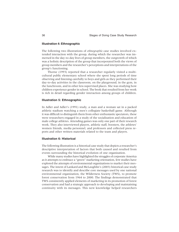#### **Illustration 4: Ethnographic**

The following two illustrations of *ethnographic* case studies involved extended interaction with the group, during which the researcher was immersed in the day-to-day lives of group members, the outgrowth of which was a holistic description of the group that incorporated both the views of group members and the researcher's perceptions and interpretations of the group's functioning.

Thorne (1993) reported that a researcher regularly visited a multicultural public elementary school where she spent long periods of time observing and listening carefully to boys and girls as they performed their day-to-day activities in the classroom, on the playground, in the gym, in the lunchroom, and in other less supervised places. She was studying how children experience gender in school. The book that resulted from her work is rich in detail regarding gender interaction among groups of children.

#### **Illustration 5: Ethnographic**

In Adler and Adler's (1991) study, a man and a woman sat in a packed athletic stadium watching a men's collegiate basketball game. Although it was difficult to distinguish them from other enthusiastic spectators, these were researchers engaged in a study of the socialization and education of male college athletes. Attending games was only one part of their research work. They also interviewed players, athletic staff, boosters, the athletes' women friends, media personnel, and professors and collected press reports and other written materials related to the team and players.

### **Illustration 6: Historical**

The following illustration is a historical case study that depicts a researcher's descriptive interpretation of factors that both caused and resulted from events surrounding the historical evolution of one organization.

While many studies have highlighted the struggles of corporate America as it attempts to embrace a "green" marketing orientation, few studies have explored the attempts of environmental organizations to market their messages. The intent of Lankard and McLaughlin's (2003) historical case study research was to identify and describe core messages used by one national environmental organization, the Wilderness Society (TWS), to promote forest conservation from 1964 to 2000. The findings demonstrated that TWS consistently applied elements of marketing in its promotion of forest conservation and had a strategic approach to developing and maintaining continuity with its messages. This new knowledge helped researchers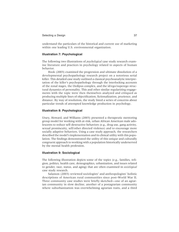understand the particulars of the historical and current use of marketing within one leading U.S. environmental organization.

# **Illustration 7: Psychological**

The following two illustrations of *psychological* case study research examine literature and practices in psychology related to aspects of human behavior.

Hook (2003) examined the progression and ultimate dissolution of a developmental psychopathology research project on a notorious serial killer. This detailed case study outlined a classical psychoanalytic interpretation of the killer's psychopathology through the interlocking accounts of the zonal stages, the Oedipus complex, and the id/ego/superego structural dynamics of personality. This and other similar regularizing engagements with the topic were then themselves analyzed and critiqued as producing multiple lines of objectification, fictionalization, prurience, and distance. By way of resolution, the study listed a series of concerns about particular trends of attempted knowledge production in psychology.

# **Illustration 8: Psychological**

Utsey, Howard, and Williams (2003) presented a therapeutic mentoring group model for working with at-risk, urban African American male adolescents to reduce self-destructive behaviors (e.g., drug use, gang activity, sexual promiscuity, self/other directed violence) and to encourage more socially adaptive behaviors. Using a case study approach, the researchers described the model's implementation and its clinical utility with this population. The findings demonstrated the utility of this unique and culturally congruent approach to working with a population historically underserved by the mental health profession.

# **Illustration 9: Sociological**

The following illustration depicts some of the topics (e.g., families, religion, politics, health care, demographics, urbanization, and issues related to gender, race, status, and aging) that are often examined in *sociological* case study research.

Salamon (2003) reviewed sociologists' and anthropologists' holistic descriptions of American rural communities since post–World War II. Three community case studies were briefly sketched—one of an agrarian community in slow decline, another of a postagrarian community where suburbanization was overwhelming agrarian traits, and a third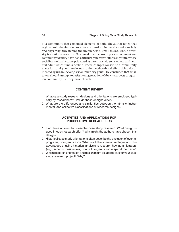of a community that combined elements of both. The author noted that regional suburbanization processes are transforming rural America socially and physically, threatening the uniqueness of small towns, whose diversity is a national resource. He argued that the loss of place attachment and community identity have had particularly negative effects on youth, whose socialization has become privatized as parental civic engagement and general adult watchfulness decline. These changes constitute a community effect for rural youth analogous to the neighborhood effect richly documented by urban sociologists for inner-city youth. He concluded that small towns should attempt to resist homogenization of the vital aspects of agrarian community life they most cherish.

## **CONTENT REVIEW**

- 1. What case study research designs and orientations are employed typically by researchers? How do these designs differ?
- 2. What are the differences and similarities between the intrinsic, instrumental, and collective classifications of research designs?

## **ACTIVITIES AND APPLICATIONS FOR PROSPECTIVE RESEARCHERS**

- 1. Find three articles that describe case study research. What design is used in each research effort? Why might the authors have chosen this desian?
- 2. Historical case study orientations often describe the evolution of events, programs, or organizations. What would be some advantages and disadvantages of using historical analysis to research how administrators (e.g., schools, businesses, nonprofit organizations) spend their time?
- 3. Which research orientation and design might be appropriate for your case study research project? Why?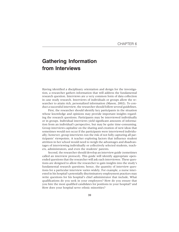# **Gathering Information from Interviews**

Having identified a disciplinary orientation and design for the investigation, a researcher gathers information that will address the fundamental research question. Interviews are a very common form of data collection in case study research. Interviews of individuals or groups allow the researcher to attain rich, personalized information (Mason, 2002). To conduct a successful interview, the researcher should follow several guidelines.

First, the researcher should identify key participants in the situation whose knowledge and opinions may provide important insights regarding the research questions. Participants may be interviewed individually or in groups. Individual interviews yield significant amounts of information from an individual's perspective, but may be quite time-consuming. Group interviews capitalize on the sharing and creation of new ideas that sometimes would not occur if the participants were interviewed individually; however, group interviews run the risk of not fully capturing all participants' viewpoints. A teacher exploring factors that influence student attrition in her school would need to weigh the advantages and disadvantages of interviewing individually or collectively selected students, teachers, administrators, and even the students' parents.

Second, the researcher should develop an interview guide (sometimes called an interview protocol). This guide will identify appropriate openended questions that the researcher will ask each interviewee. These questions are designed to allow the researcher to gain insights into the study's fundamental research questions; hence, the quantity of interview questions for a particular interview varies widely. For example, a nurse interested in his hospital's potentially discriminatory employment practices may write questions for his hospital's chief administrator that include, What qualifications do you seek in your employees? How do you ensure that you hire the most qualified candidates for positions in your hospital? and How does your hospital serve ethnic minorities?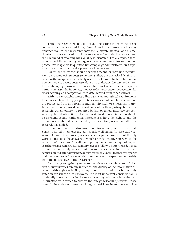Third, the researcher should consider the setting in which he or she conducts the interview. Although interviews in the natural setting may enhance realism, the researcher may seek a private, neutral, and distraction-free interview location to increase the comfort of the interviewee and the likelihood of attaining high-quality information. For example, a technology specialist exploring her organization's computer software adoption procedures may elect to question her company's administrators in a separate office rather than in the presence of coworkers.

Fourth, the researcher should develop a means for recording the interview data. Handwritten notes sometimes suffice, but the lack of detail associated with this approach inevitably results in a loss of valuable information. The best way to record interview data is to audiotape the interaction. Before audiotaping, however, the researcher must obtain the participant's permission. After the interview, the researcher transcribes the recording for closer scrutiny and comparison with data derived from other sources.

Fifth, the researcher must adhere to legal and ethical requirements for all research involving people. Interviewees should not be deceived and are protected from any form of mental, physical, or emotional injury. Interviewees must provide informed consent for their participation in the research. Unless otherwise required by law or unless interviewees consent to public identification, information attained from an interview should be anonymous and confidential. Interviewees have the right to end the interview and should be debriefed by the case study researcher after the research has ended.

Interviews may be structured, semistructured, or unstructured. Semistructured interviews are particularly well-suited for case study research. Using this approach, researchers ask predetermined but flexibly worded questions, the answers to which provide tentative answers to the researchers' questions. In addition to posing predetermined questions, researchers using semistructured interviews ask follow-up questions designed to probe more deeply issues of interest to interviewees. In this manner, semistructured interviews invite interviewees to express themselves openly and freely and to define the world from their own perspectives, not solely from the perspective of the researcher.

Identifying and gaining access to interviewees is a critical step. Selection of interviewees directly influences the quality of the information attained. Although availability is important, this should not be the only criterion for selecting interviewees. The most important consideration is to identify those persons in the research setting who may have the best information with which to address the study's research questions. Those potential interviewees must be willing to participate in an interview. The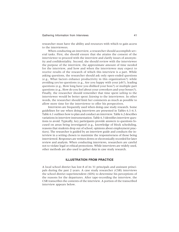researcher must have the ability and resources with which to gain access to the interviewees.

When conducting an interview, a researcher should accomplish several tasks. First, she should ensure that she attains the consent of the interviewee to proceed with the interview and clarify issues of anonymity and confidentiality. Second, she should review with the interviewee the purpose of the interview, the approximate amount of time needed for the interview, and how and when the interviewee may expect to receive results of the research of which this interview is a part. While asking questions, the researcher should ask only open-ended questions (e.g., What factors enhance productivity in this organization?) while avoiding yes/no questions (e.g., Are you happy with your job?), leading questions (e.g., How long have you disliked your boss?) or multiple-part questions (e.g., How do you feel about your coworkers and your bosses?). Finally, the researcher should remember that time spent *talking* to the interviewee would be better spent *listening* to the interviewee. In other words, the researcher should limit her comments as much as possible to allow more time for the interviewee to offer his perspectives.

Interviews are frequently used when doing case study research. Some guidelines for use when doing interviews are presented in Tables 6.1–6.3. Table 6.1 outlines how to plan and conduct an interview. Table 6.2 describes variations in interview instrumentation. Table 6.3 identifies interview questions to avoid. Typically, key participants provide answers to questions focused on areas being investigated (e.g., knowledge of block scheduling, reasons that students drop out of school, opinions about employment practices). The researcher is guided by an interview guide and conducts the interview in a setting chosen to maximize the responsiveness of those being interviewed. Responses are written down or electronically recorded for later review and analysis. When conducting interviews, researchers are careful not to violate legal or ethical protections. While interviews are widely used, other methods are also used to gather data in case study research.

#### **ILLUSTRATION FROM PRACTICE**

A local school district has lost 8 of its 31 principals and assistant principals during the past 2 years. A case study researcher (CSR) interviews the school district superintendent (SDS) to determine his perceptions of the reasons for the departures. After tape-recording the interview, the CSR transcribes the contents of the interview. A portion of the transcribed interview appears below.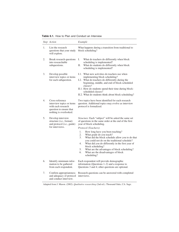|    | Step Action                                                                                                             | Example                                                                                                                                                                                                                                                                                                                                                                                                                                                                                                                                                     |
|----|-------------------------------------------------------------------------------------------------------------------------|-------------------------------------------------------------------------------------------------------------------------------------------------------------------------------------------------------------------------------------------------------------------------------------------------------------------------------------------------------------------------------------------------------------------------------------------------------------------------------------------------------------------------------------------------------------|
| 1. | List the research<br>questions that your study<br>will explore.                                                         | What happens during a transition from traditional to<br>block scheduling?                                                                                                                                                                                                                                                                                                                                                                                                                                                                                   |
| 2. | Break research questions<br>into researchable<br>subquestions.                                                          | L.<br>What do teachers do differently when block<br>scheduling is implemented?<br>What do students do differently when block<br>П.<br>scheduling is implemented?                                                                                                                                                                                                                                                                                                                                                                                            |
| 3. | Develop possible<br>interview topics or items<br>for each subquestion.                                                  | I.1. What new activities do teachers use when<br>implementing block scheduling?<br>I.2. What do teachers do differently during the<br>beginning, middle, and end of block-scheduled<br>classes?<br>II.1. How do students spend their time during block-<br>scheduled classes?<br>II.2. What do students think about block scheduling?                                                                                                                                                                                                                       |
| 4. | Cross-reference<br>interview topics or items<br>with each research<br>question to ensure that<br>nothing is overlooked. | Two topics have been identified for each research<br>question. Additional topics may evolve as interview<br>protocol is formalized.                                                                                                                                                                                                                                                                                                                                                                                                                         |
| 5. | Develop interview<br>structure (i.e., format)<br>and protocol (i.e., guide)<br>for interviews.                          | Structure: Each "subject" will be asked the same set<br>of questions in the same order at the end of the first<br>year of block scheduling.<br>Protocol (Teachers):<br>How long have you been teaching?<br>1.<br>What grade do you teach?<br>2.<br>3.<br>What did the block schedule allow you to do that<br>you could not do on the traditional schedule?<br>What did you do differently in the first year of<br>4.<br>block scheduling?<br>What are the advantages of block scheduling?<br>5.<br>What are the disadvantages of block<br>6.<br>scheduling? |
| 6. | Identify minimum infor-<br>mation to be gathered<br>from each respondent.                                               | Each respondent will provide demographic<br>information (Questions 1–2) and a response to<br>Questions 3 and 4; other questions are optional.                                                                                                                                                                                                                                                                                                                                                                                                               |
| 7. | Confirm appropriateness<br>and adequacy of protocol<br>and conduct interview.                                           | Research questions can be answered with completed<br>interviews.                                                                                                                                                                                                                                                                                                                                                                                                                                                                                            |

**Table 6.1.** How to Plan and Conduct an Interview

Adapted from J. Mason. (2002). *Qualitative researching* (2nd ed.). Thousand Oaks, CA: Sage.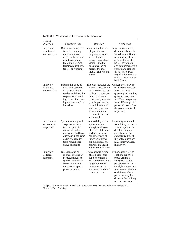| Type of<br>Interview                     | <i>Characteristics</i>                                                                                                                                                                                       | <i><u><b>Strengths</b></u></i>                                                                                                                                                                                                                                         | Weaknesses                                                                                                                                                                                                                                                                     |
|------------------------------------------|--------------------------------------------------------------------------------------------------------------------------------------------------------------------------------------------------------------|------------------------------------------------------------------------------------------------------------------------------------------------------------------------------------------------------------------------------------------------------------------------|--------------------------------------------------------------------------------------------------------------------------------------------------------------------------------------------------------------------------------------------------------------------------------|
| Interview<br>as informal<br>conversation | Questions are derived<br>from the ongoing<br>context and are<br>asked in the course<br>of interview and<br>there are no prede-<br>termined questions,<br>topics, or wording.                                 | Value and relevance<br>of questions is<br>heightened, topics<br>are built on and<br>emerge from obser-<br>vations, and the<br>questions can be<br>matched to indi-<br>viduals and circum-<br>stances.                                                                  | Information may be<br>different when col-<br>lected from different<br>people using differ-<br>ent questions. May<br>be less systematic<br>and comprehensive if<br>particular questions<br>do not arise. Data<br>organization and sys-<br>tematic analysis may<br>be difficult. |
| Interview<br>as guided<br>conversation   | Information to be ad-<br>dressed is specified<br>in advance, but in-<br>terviewer defines the<br>sequence and word-<br>ing of questions dur-<br>ing the course of the<br>interview.                          | The plan increases the<br>completeness of the<br>data and makes data<br>collection more sys-<br>tematic for each<br>participant, potential<br>gaps in process can<br>be anticipated and<br>addressed, and in-<br>terviews remain<br>conversational and<br>situational. | Critical topics may be<br>inadvertently missed.<br>Flexibility in se-<br>quencing and wording<br>questions may result<br>in different responses<br>from different partici-<br>pants and may reduce<br>the comparability of<br>responses.                                       |
| Interview as<br>open-ended<br>responses  | Specific wording and<br>sequence of ques-<br>tions are predeter-<br>mined, all partici-<br>pants are asked basic<br>questions in the same<br>order, and all ques-<br>tions require open-<br>ended responses. | Comparability of re-<br>sponses may be<br>strengthened, com-<br>pleteness of data for<br>each person is en-<br>hanced, effects of<br>interviewer biases<br>are minimized, and<br>analysis and organi-<br>zation are facilitated.                                       | Flexibility is limited<br>for relating the inter-<br>view to specific in-<br>dividuals and cir-<br>cumstances. The<br>standardized word-<br>ing of the questions<br>may limit variation<br>in answers.                                                                         |
| Interview<br>as fixed<br>responses       | Questions and re-<br>sponses options are<br>predetermined, re-<br>sponse options are<br>fixed, and respon-<br>dent selects appro-<br>priate response.                                                        | Data analysis is sim-<br>plified, responses<br>can be compared<br>and combined, and a<br>larger number of<br>questions can be<br>addressed in a brief<br>space and time.                                                                                               | Experiences and per-<br>ceptions are fit to<br>predetermined<br>categories. Often<br>perceived as imper-<br>sonal, irrelevant, and<br>mechanical. Meaning<br>or richness of ex-<br>periences may be<br>distorted by limiting<br>response options.                              |

### **Table 6.2.** Variations in Interview Instrumentation

Adapted from M. Q. Patton. (2002). *Qualitative research and evaluation methods* (3rd ed.). Newbury Park, CA: Sage.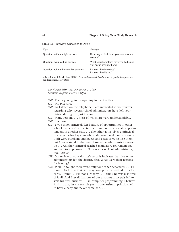| Type                                 | Example                                                            |
|--------------------------------------|--------------------------------------------------------------------|
| Questions with multiple answers      | How do you feel about your teachers and<br>courses?                |
| Questions with leading answers       | What social problems have you had since<br>you began working here? |
| Questions with uninformative answers | Do you like the course?<br>Do you like this job?                   |

**Table 6.3.** Interview Questions to Avoid

Adapted from S. B. Merriam. (1988). *Case study research in education: A qualitative approach*. San Francisco: Jossey-Bass.

*Time/Date: 1:30 p.m., November 2, 2005 Location: Superintendent's Office*

- *CSR:* Thank you again for agreeing to meet with me.
- *SDS:* My pleasure.
- *CSR:* As I stated on the telephone, I am interested in your views regarding why several school administrators have left your district during the past 2 years.
- *SDS:* Many reasons . . . most of which are very understandable.
- *CSR:* Such as?
- *SDS:* Two school principals left because of opportunities in other school districts. One received a promotion to associate superintendent in another state . . . The other got a job as a principal in a larger school system where she could make more money. Both were excellent employees and I was sorry to lose them, but I never stand in the way of someone who wants to move up . . . Another principal reached mandatory retirement age and had to step down . . . He was an excellent administrator, too. *[Silence]*
- *CSR:* My review of your district's records indicates that five other administrators left the district, also. What were their reasons for leaving?
- *SDS:* Well, I thought there were only four other departures . . . I'll have to look into that. Anyway, one principal retired . . . a bit early, I think . . . I'm not sure why . . . I think he was just tired of it all. And I recall that one of our assistant principals left to start his own business . . . in computer programming, I believe. And . . . um, let me see, oh yes . . . one assistant principal left to have a baby and never came back . . .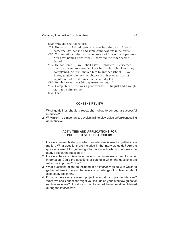- *CSR:* Why did she not return?
- *SDS:* Not sure . . . I should probably look into that, also. I heard someone say that she had some complications in delivery.
- *CSR:* You mentioned that you were aware of four other departures. You have named only three . . . why did the other person leave?
- *SDS:* He had some . . . well, shall I say . . . problems. He seemed overly attracted to a couple of teachers in his school and they complained. At first I moved him to another school . . . you know, to give him another chance. But it seemed that his reputation followed him so he eventually left.
- *CSR:* To what extent was his departure voluntary?
- *SDS:* Completely . . . he was a good worker . . . he just had a rough start at his first school.
- *CSR:* I see . . .

### **CONTENT REVIEW**

- 1. What guidelines should a researcher follow to conduct a successful interview?
- 2. Why might it be important to develop an interview guide before conducting an interview?

### **ACTIVITIES AND APPLICATIONS FOR PROSPECTIVE RESEARCHERS**

- 1. Locate a research study in which an interview is used to gather information. What questions are included in the interview guide? Are the questions useful for gathering information with which to address the study's research question(s)?
- 2. Locate a thesis or dissertation in which an interview is used to gather information. Could the questions or setting in which the questions are asked be improved? How?
- 3. What questions might be included in an interview guide with which to gather information about the levels of knowledge of professors about case study research?
- 4. For your case study research project, whom do you plan to interview? What five or six questions might you include on your interview guide for each interviewee? How do you plan to record the information obtained during the interviews?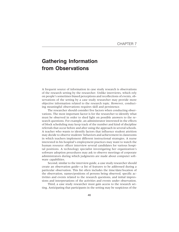# **Gathering Information from Observations**

A frequent source of information in case study research is observations of the research setting by the researcher. Unlike interviews, which rely on people's sometimes biased perceptions and recollections of events, observations of the setting by a case study researcher may provide more objective information related to the research topic. However, conducting meaningful observations requires skill and persistence.

The researcher should consider five factors when conducting observations. The most important factor is for the researcher to identify what must be observed in order to shed light on possible answers to the research questions. For example, an administrator interested in the effects of block scheduling may keep track of the number and kind of discipline referrals that occur before and after using the approach in several schools. A teacher who wants to identify factors that influence student attrition may decide to observe students' behaviors and achievement in classrooms in which teachers implement different instructional strategies. A nurse interested in his hospital's employment practices may want to watch the human resource officer interview several candidates for various hospital positions. A technology specialist investigating her organization's software adoption procedures may ask to observe meetings of corporate administrators during which judgments are made about computer software capabilities.

Second, similar to the interview guide, a case study researcher should create an observation guide—a list of features to be addressed during a particular observation. This list often includes the time/date/location of the observation, names/positions of persons being observed, specific activities and events related to the research questions, and initial impressions and interpretations of the activities and events under observation.

Third, a case study researcher must gain access to the research setting. Anticipating that participants in the setting may be suspicious of the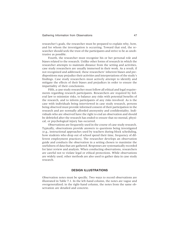researcher's goals, the researcher must be prepared to explain why, how, and for whom the investigation is occurring. Toward that end, the researcher should seek the trust of the participants and strive to be as unobtrusive as possible.

Fourth, the researcher must recognize his or her personal role and biases related to the research. Unlike other forms of research in which the researcher attempts to maintain distance from the setting and activities, case study researchers are usually immersed in their work. As a result, if not recognized and addressed, these researchers' inherent biases and predispositions may prejudice their activities and interpretations of the study's findings. Case study researchers must actively attempt to identify and mitigate the effects of their biases and prejudices in order to ensure the impartiality of their conclusions.

Fifth, a case study researcher must follow all ethical and legal requirements regarding research participants. Researchers are required by federal law to minimize risks, to balance any risks with potential benefits of the research, and to inform participants of any risks involved. As is the case with individuals being interviewed in case study research, persons being observed must provide informed consent of their participation in the research and are normally afforded anonymity and confidentiality. Individuals who are observed have the right to end an observation and should be debriefed after the research has ended to ensure that no mental, physical, or psychological injury has occurred.

Observations are frequently used in the course of case study research. Typically, observations provide answers to questions being investigated (e.g., instructional approaches used by teachers during block scheduling, how students who drop out of school spend their time, frequency of different employment practices). The researcher develops an observation guide and conducts the observation in a setting chosen to maximize the usefulness of data that are gathered. Responses are systematically recorded for later review and analysis. When conducting observations, researchers are careful not to violate legal or ethical protections. While observations are widely used, other methods are also used to gather data in case study research.

### **DESIGN ILLUSTRATIONS**

Observation notes must be specific. Two ways to record observations are illustrated in Table 7.1. In the left-hand column, the notes are vague and overgeneralized; in the right-hand column, the notes from the same observation are detailed and concrete.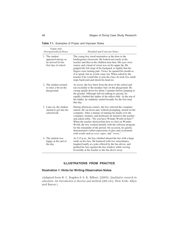| Vague and<br>Overgeneralized Notes                                                 | Detailed and Concrete Notes                                                                                                                                                                                                                                                                                                                                                                                                                                                                                                                                                                  |
|------------------------------------------------------------------------------------|----------------------------------------------------------------------------------------------------------------------------------------------------------------------------------------------------------------------------------------------------------------------------------------------------------------------------------------------------------------------------------------------------------------------------------------------------------------------------------------------------------------------------------------------------------------------------------------------|
| 1. The student<br>appeared uneasy as<br>he arrived for his<br>first day of school. | The young boy stood motionless at the door to the<br>kindergarten classroom. He looked nervously at the<br>teacher and then at the children near him. His eyes were<br>watery and a bead of sweat was on his upper lip. He<br>gripped the left strap of his backpack so tightly that his<br>fingers were turning pale. Twice, he opened his mouth as<br>if to speak, but no words came out. When asked by the<br>teacher if he would like to join the class, he took two small<br>steps backward and shook his head no.                                                                      |
| 2. The student seemed<br>to relax a bit on the<br>playground.                      | At recess, the boy burst from the door of the school and<br>ran excitedly to the monkey bars on the playground. He<br>swung upside down for about 2 minutes before jumping to<br>the ground. Although still not talking to anyone, he<br>rapidly climbed the ladder of the tallest slide. At the top of<br>the ladder, he suddenly smiled broadly for the first time<br>that day.                                                                                                                                                                                                            |
| 3. Later on, the student<br>started to get into his<br>schoolwork.                 | During afternoon centers, the boy selected the computer<br>station. He sat down and, without prompting, turned on the<br>computer. After a minute of running his hands over the<br>computer, monitor, and keyboard, he turned to the teacher<br>and asked softly, "Do you have Wonder World on here?"<br>When the teacher showed him how to click on Wonder<br>World, the boy worked intently with the software program<br>for the remainder of the period. On occasion, he quietly<br>demonstrated verbal expressions of glee and excitement<br>with words such as wow, super, and "sweet." |
| 4. The student was<br>happy at the end of<br>the day.                              | At 2:15 p.m., the boy climbed aboard the bus with a huge<br>smile on his face. He bantered with two schoolmates,<br>laughed loudly at a joke offered by the bus driver, and<br>pushed his face against the bus window while waving<br>feverishly at his teacher as the bus drove away.                                                                                                                                                                                                                                                                                                       |

**Table 7.1.** Examples of Proper and Improper Notes

# **ILLUSTRATIONS FROM PRACTICE**

### **Illustration 1: Hints for Writing Observation Notes**

(Adapted from R. C. Bogden & S. K. Bilken. [2003]. *Qualitative research in education: An introduction to theories and methods* [4th ed.]. New York: Allyn and Bacon.)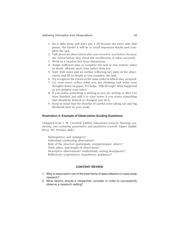- 1. Do it right away and don't put it off because the more time that passes, the harder it will be to recall important details and complete the task.
- 2. Talk about an observation after you record it, not before, because the conversation may cloud the recollection of what occurred.
- 3. Work in a location free from distractions.
- 4. Assign sufficient time to complete the task in one session; when in doubt, allocate more time rather than less.
- 5. Start with notes and an outline reflecting key parts of the observation and fill in details as you complete the task.
- 6. Try to capture the events in the same order in which they occurred.
- 7. Let your notes reflect what you are thinking and write your thoughts down on paper; if it helps, "talk through" what happened as you prepare your notes.
- 8. If you notice something is missing as you are writing or after you have finished, just add it to your notes; if you notice something that should be deleted or changed, just do it.
- 9. Keep in mind that the benefits of careful note-taking can pay big dividends later in your study.

# **Illustration 2: Example of Observation Guiding Questions**

(Adapted from J. W. Creswell. [2002]. *Educational research: Planning, conducting, and evaluating quantitative and qualitative research.* Upper Saddle River, NJ: Prentice Hall.)

Participant(s) and setting(s)? Individual conducting observation? Role of the observer (participant, nonparticipant, other)? Time, place, and length of observation? Descriptive observations? (individuals, setting descriptors)? Reflections (experiences, hypotheses, guidance)?

# **CONTENT REVIEW**

- 1. Why is observation one of the best forms of data collection in case study research?
- 2. What factors should a researcher consider in order to successfully observe a research setting?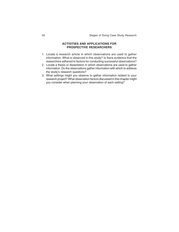### **ACTIVITIES AND APPLICATIONS FOR PROSPECTIVE RESEARCHERS**

- 1. Locate a research article in which observations are used to gather information. What is observed in this study? Is there evidence that the researchers adhered to factors for conducting successful observations?
- 2. Locate a thesis or dissertation in which observations are used to gather information. Do the observations gather information with which to address the study's research questions?
- 3. What settings might you observe to gather information related to your research project? What observation factors discussed in this chapter might you consider when planning your observation of each setting?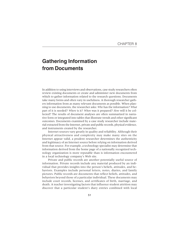# **Gathering Information from Documents**

In addition to using interviews and observations, case study researchers often review existing documents or create and administer new documents from which to gather information related to the research questions. Documents take many forms and often vary in usefulness. A thorough researcher gathers information from as many relevant documents as possible. When planning to use documents, the researcher asks: *Who* has the information? *What* part of it is needed? *Where* is it? *When* was it prepared? *How* will it be collected? The results of document analyses are often summarized in narrative form or integrated into tables that illustrate trends and other significant outcomes. Documents examined by a case study researcher include material extracted from the Internet, private and public records, physical evidence, and instruments created by the researcher.

Internet sources vary greatly in quality and reliability. Although their physical attractiveness and complexity may make many sites on the Internet appear valid, a prudent researcher determines the authenticity and legitimacy of an Internet source before relying on information derived from that source. For example, a technology specialist may determine that information derived from the home page of a nationally recognized technology organization is more reputable than is information encountered in a local technology company's Web site.

Private and public records are another potentially useful source of information. Private records include any material produced by an individual that provides insights into the person's beliefs, attitudes, and behaviors. Examples include personal letters, notes, diaries, and family pictures. Public records are documents that reflect beliefs, attitudes, and behaviors beyond those of a particular individual. These documents may include court records, licenses, and certificates of birth, marriage, and death. A teacher investigating factors that influence student attrition may discover that a particular student's diary entries combined with local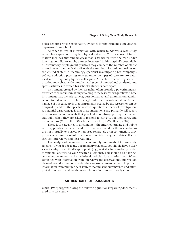police reports provide explanatory evidence for that student's unexpected departure from school.

Another source of information with which to address a case study researcher's questions may be physical evidence. This category of information includes anything physical that is associated with the case under investigation. For example, a nurse interested in his hospital's potentially discriminatory employment practices may compare the number of ethnic minorities on the medical staff with the number of ethnic minorities on the custodial staff. A technology specialist investigating her company's software adoption practices may examine the types of software programs used most frequently by her colleagues. A teacher researching student attrition may observe the number and types of after-school academic and sports activities in which his school's students participate.

Instruments created by the researcher often provide a powerful means by which to collect information pertaining to the researcher's questions. These instruments may include surveys, questionnaires, and examinations administered to individuals who have insight into the research situation. An advantage of this category is that instruments created by the researcher can be designed to address the specific research questions in need of investigation. A potential disadvantage is that these instruments are primarily self-report measures—research reveals that people do not always portray themselves truthfully when they are asked to respond to surveys, questionnaires, and examinations (Creswell, 1998; Glesne & Peshkin, 1992; Hatch, 2002).

These four categories of documents—the Internet, private and public records, physical evidence, and instruments created by the researcher are not mutually exclusive. When used separately or in conjunction, they provide a rich source of information with which to augment data collected through interviews and observations.

The analysis of documents is a commonly used method in case study research. If you decide to use documentary evidence, you should have a clear view for why this method is appropriate (e.g., available information provides meaningful answers to your research questions). You should also have access to key documents and a well-developed plan for analyzing them. When combined with information from interviews and observations, information gleaned from documents provides the case study researcher with important information from multiple data sources that must be summarized and interpreted in order to address the research questions under investigation.

### **AUTHENTICITY OF DOCUMENTS**

Clark (1967) suggests asking the following questions regarding documents used in a case study: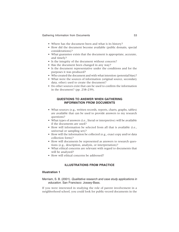- Where has the document been and what is its history?
- How did the document become available (public domain, special considerations)?
- What guarantee exists that the document is appropriate, accurate, and timely?
- Is the integrity of the document without concern?
- Has the document been changed in any way?
- Is the document representative under the conditions and for the purposes it was produced?
- Who created the document and with what intention (potential bias)?
- What were the sources of information (original source, secondary data, other) used to create the document?
- Do other sources exist that can be used to confirm the information in the document? (pp. 238–239).

# **QUESTIONS TO ANSWER WHEN GATHERING INFORMATION FROM DOCUMENTS**

- What sources (e.g., written records, reports, charts, graphs, tables) are available that can be used to provide answers to my research questions?
- What types of answers (i.e., literal or interpretive) will be available if the documents are used?
- How will information be selected from all that is available (i.e., universal or sampling set)?
- How will the information be collected (e.g., exact copy and/or data collection form)?
- How will documents be represented as answers to research questions (e.g., description, analysis, or interpretation)?
- What ethical concerns are relevant with regard to documents that will be analyzed?
- How will ethical concerns be addressed?

# **ILLUSTRATIONS FROM PRACTICE**

# **Illustration 1**

Merriam, S. B. (2001). Qualitative research and case study applications in education. San Francisco: Jossey-Bass.

If you were interested in studying the role of parent involvement in a neighborhood school, you could look for public-record documents in the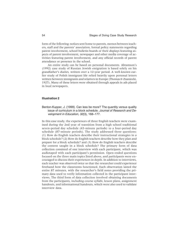form of the following: notices sent home to parents, memos between teachers, staff and the parents' association, formal policy statements regarding parent involvement, school bulletin boards or their displays featuring aspects of parent involvement, newspaper and other media coverage of activities featuring parent involvement, and any official records of parent attendance or presence in the school.

An entire study can be based on personal documents. Abramson's (1992) case study of Russian Jewish emigration is based solely on his grandfather's diaries, written over a 12-year period. A well-known earlier study of Polish immigrant life relied heavily upon personal letters written between immigrants and relatives in Europe (Thomas & Znaniecki, 1927). Many of these letters were obtained through appeals in ads placed in local newspapers.

### **Illustration 2**

Benton-Kupper, J. (1999). Can less be more? The quantity versus quality issue of curriculum in a block schedule. Journal of Research and Development in Education, 32(3), 168–177.

In this case study, the experiences of three English teachers were examined during the 2nd year of transition from a high school traditional seven-period day schedule (43-minute periods) to a four-period day schedule (87-minute periods). The study addressed three questions: (1) How do English teachers describe their instructional strategies in a block schedule? (2) How do English teachers describe how they plan and prepare for a block schedule? and (3) How do English teachers describe the content taught in a block schedule? The primary form of data collection consisted of one interview with each participant, which was audiotaped with each participant's permission. Open-ended questions focused on the three main topics listed above, and participants were encouraged to discuss their experiences in depth. In addition to interviews, each teacher was observed twice so that the researcher could experience firsthand how the classrooms functioned. Each observation lasted the entire 87 minutes, with the researcher's field notes providing the primary data used to verify information collected in the participant interviews. The third form of data collection involved obtaining documents from the participants, including course syllabi, lesson plans, assignment handouts, and informational handouts, which were also used to validate interview data.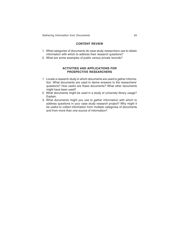# **CONTENT REVIEW**

- 1. What categories of documents do case study researchers use to obtain information with which to address their research questions?
- 2. What are some examples of public versus private records?

# **ACTIVITIES AND APPLICATIONS FOR PROSPECTIVE RESEARCHERS**

- 1. Locate a research study in which documents are used to gather information. What documents are used to derive answers to the researchers' questions? How useful are these documents? What other documents might have been used?
- 2. What documents might be used in a study of university library usage? Explain.
- 3. What documents might you use to gather information with which to address questions in your case study research project? Why might it be useful to collect information from multiple categories of documents and from more than one source of information?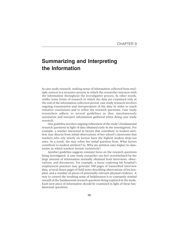# **Summarizing and Interpreting the Information**

In case study research, making sense of information collected from multiple sources is a recursive process in which the researcher interacts with the information throughout the investigative process. In other words, unlike some forms of research in which the data are examined only at the end of the information collection period, case study research involves ongoing examination and interpretation of the data in order to reach tentative conclusions and to refine the research questions. Case study researchers adhere to several guidelines as they simultaneously summarize and interpret information gathered when doing case study research.

One guideline involves ongoing refinement of the study's fundamental research questions in light of data obtained early in the investigation. For example, a teacher interested in factors that contribute to student attrition may discern from initial observations of her school's classrooms that teachers who rely strictly on lecture have the highest student drop-out rates. As a result, she may refine her initial question from, What factors contribute to student attrition? to, Why are attrition rates higher in classrooms in which teachers lecture exclusively?

Another guideline suggests constant focus on the research questions being investigated. A case study researcher can feel overwhelmed by the large amount of information normally obtained from interviews, observations, and documents. For example, a nurse exploring his hospital's employment practices may generate 300 pages of transcribed interview data, several dozen pages of field notes describing observations of his hospital, and a number of pieces of potentially relevant physical evidence. A way to control the resulting sense of helplessness is to constantly remind oneself of the fundamental research questions being explored in the study. Each new piece of information should be examined in light of these fundamental questions.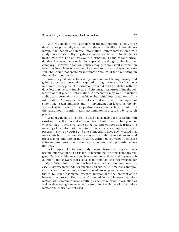A third guideline involves collection and interpretation of only those data that are potentially meaningful to the research effort. Although premature elimination of potential information sources may lessen a case study researcher's ability to gain a complete explanation for the issues in the case, focusing on irrelevant information is equally counterproductive. For example, a technology specialist seeking insights into her company's software adoption policies may gain no useful information from her interviews of vendors of various software packages. As a result, she should not spend an inordinate amount of time reflecting on the vendor's comments.

Another guideline is to develop a method for labeling, storing, and gaining access to information acquired during the research effort. As a minimum, every piece of information gathered must be labeled with the date, location, persons involved, and circumstances surrounding the collection of that piece of information. A researcher may want to include additional information, such as his or her initial interpretations of the information. Although creation of a sound information management system may seem simplistic and its implementation laborious, the absence of such a system will jeopardize a researcher's ability to interpret the vast amount of information accumulated in a case study research project.

A final guideline involves the use of all available resources that can assist in the collection and interpretation of information. Independent experts may provide valuable guidance and opinions regarding the meaning of the information acquired. In recent years, computer software programs, such as NUDIST and The Ethnograph, have been created that may contribute to a case study researcher's ability to categorize and process large amounts of information. Although the viability of these software programs is not completely known, their potential seems limitless.

A key aspect of doing case study research is summarizing and interpreting information as a basis for understanding the topic being investigated. Typically, this process involves examining and reexamining research questions and answers that evolve as information becomes available for analysis. When information that is collected defines new questions, the case study researcher adjusts ongoing and subsequent methods and procedures. At the same time, efforts are made to keep an eye on the prize, that is, to keep fundamental research question(s) at the forefront of the investigative process. The nature of summarizing and interpreting information also sometimes means putting aside less relevant information as well as developing a management system for keeping track of all information that is used or not used.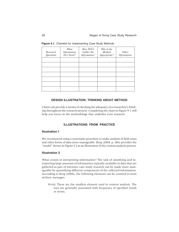| Research<br><i><u><b>Questions</b></u></i> | What<br>Information<br>Do I Need? | How Will I<br>Gather the<br>Information? | Why Is the<br>Method<br>Appropriate? | Other<br>Information |
|--------------------------------------------|-----------------------------------|------------------------------------------|--------------------------------------|----------------------|
|                                            |                                   |                                          |                                      |                      |
|                                            |                                   |                                          |                                      |                      |
|                                            |                                   |                                          |                                      |                      |
|                                            |                                   |                                          |                                      |                      |
|                                            |                                   |                                          |                                      |                      |
|                                            |                                   |                                          |                                      |                      |
|                                            |                                   |                                          |                                      |                      |

**Figure 9.1.** Checklist for Implementing Case Study Methods

#### **DESIGN ILLUSTRATION: THINKING ABOUT METHOD**

Charts can provide a means of checking the adequacy of a researcher's thinking throughout the research process. Completing the chart in Figure 9.1 will help you focus on the methodology that underlies your research.

#### **ILLUSTRATIONS FROM PRACTICE**

#### **Illustration 1**

We recommend using a systematic procedure to make analysis of field notes and other forms of data more manageable. Berg (2004, p. 286) provides the "model" shown in Figure 9.2 as an illustration of the content analysis process.

#### **Illustration 2**

What counts in interpreting information? The task of classifying and interpreting large amounts of information typically available in data that are gathered as part of intensive case study research can be made more manageable by quantifying different components of the collected information. According to Berg (2004), the following elements can be counted in most written messages:

*Words*: These are the smallest element used in content analysis. The uses are generally associated with frequency of specified words or terms.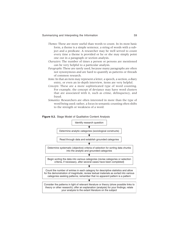- *Themes:* These are more useful than words to count. In its most basic form, a theme is a simple sentence, a string of words with a subject and a predicate. A researcher may be well served to count every time a theme is provided or he or she may simply point one out in a paragraph or section analysis.
- *Characters:* The number of times a person or persons are mentioned can be very helpful to a particular analysis.
- *Paragraphs:* These are rarely used, because many paragraphs are often not synonymous and are hard to quantify as patterns or threads of common research.
- *Items:* In that an item may represent a letter, a speech, a section, a diary entry, or even an in-depth interview, items are very helpful.
- *Concepts:* These are a more sophisticated type of word counting. For example, the concept of deviance may have word clusters that are associated with it, such as crime, delinquency, and fraud.
- *Semantics:* Researchers are often interested in more than the type of word being used; rather, a focus in semantic counting often shifts to the strength or weakness of a word.

**Figure 9.2.** Stage Model of Qualitative Content Analysis

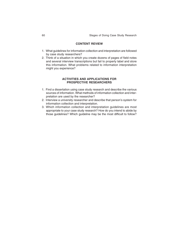#### **CONTENT REVIEW**

- 1. What guidelines for information collection and interpretation are followed by case study researchers?
- 2. Think of a situation in which you create dozens of pages of field notes and several interview transcriptions but fail to properly label and store this information. What problems related to information interpretation might you experience?

#### **ACTIVITIES AND APPLICATIONS FOR PROSPECTIVE RESEARCHERS**

- 1. Find a dissertation using case study research and describe the various sources of information. What methods of information collection and interpretation are used by the researcher?
- 2. Interview a university researcher and describe that person's system for information collection and interpretation.
- 3. Which information collection and interpretation guidelines are most appropriate to your case study research? How do you intend to abide by those guidelines? Which guideline may be the most difficult to follow?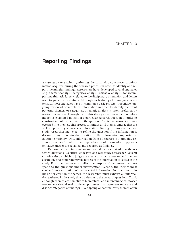### **Reporting Findings**

A case study researcher synthesizes the many disparate pieces of information acquired during the research process in order to identify and report meaningful findings. Researchers have developed several strategies (e.g., thematic analysis, categorical analysis, narrative analysis) for accomplishing this task, largely related to the disciplinary orientation and design used to guide the case study. Although each strategy has unique characteristics, most strategies have in common a basic process—repetitive, ongoing review of accumulated information in order to identify recurrent patterns, themes, or categories. Thematic analysis is often preferred by novice researchers. Through use of this strategy, each new piece of information is examined in light of a particular research question in order to construct a tentative answer to the question. Tentative answers are categorized into themes. This process continues until themes emerge that are well supported by all available information. During this process, the case study researcher may elect to refine the question if the information is disconfirming or retain the question if the information supports the question's viability. Once information from all sources is thoroughly reviewed, themes for which the preponderance of information supports a tentative answer are retained and reported as findings.

Determination of information-supported themes that address the research questions is a critical endeavor of a case study researcher. Several criteria exist by which to judge the extent to which a researcher's themes accurately and comprehensively represent the information collected in the study. First, the themes must reflect the purpose of the research and respond to the questions under investigation. Second, the themes must evolve from a saturation of the collected information. In other words, in his or her creation of themes, the researcher must exhaust all information gathered in the study that is relevant to the research questions. Third, although themes are sometimes hierarchical and interconnected, novice researchers should seek to develop themes that represent separate and distinct categories of findings. Overlapping or contradictory themes often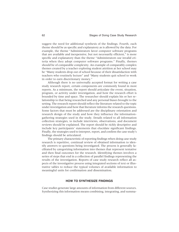suggest the need for additional synthesis of the findings. Fourth, each theme should be as specific and explanatory as is allowed by the data. For example, the theme "Administrators favor computer software programs that are available and inexpensive, but not necessarily efficient," is more specific and explanatory than the theme "Administrators use invalid criteria when they adopt computer software programs." Finally, themes should be of comparable complexity. An example of comparably complex themes created by a teacher exploring student attrition at her school may be "Many students drop out of school because of their dissatisfaction with teachers who routinely lecture" and "Many students quit school to work in order to earn discretionary money."

Although there is no universally accepted format for writing a case study research report, certain components are commonly found in most reports. As a minimum, the report should articulate the event, situation, program, or activity under investigation, and how the research effort is bounded by time and space. The researcher should explain his or her relationship to that being researched and any personal biases brought to the setting. The research report should reflect the literature related to the topic under investigation and how that literature informs the research questions. Some factors that must be addressed are the disciplinary orientation and research design of the study and how they influence the informationgathering strategies used in the study. Details related to all information collection strategies, to include interviews, observations, and document reviews should be explained. The report should be richly descriptive and include key participants' statements that elucidate significant findings. Finally, the strategies used to interpret, report, and confirm the case study's findings should be articulated.

The primary characteristic of reporting findings when doing case study research is repetitive, continual review of obtained information to identify answers to questions being investigated. The process is generally facilitated by categorizing information into themes that represent tentative and then final outcomes for the research. Identifying themes involves a series of steps that end in a collection of parallel findings representing the results of the investigation. Reports of case study research reflect all aspects of the investigative process using integrated sections of text or illustrative tables to reduce the typical volumes of available information to meaningful units for confirmation and dissemination.

#### **HOW TO SYNTHESIZE FINDINGS**

Case studies generate large amounts of information from different sources. Synthesizing this information means combining, integrating, and summa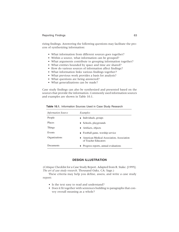rizing findings. Answering the following questions may facilitate the process of synthesizing information:

- What information from different sources goes together?
- Within a source, what information can be grouped?
- What arguments contribute to grouping information together?
- What entities bounded by space and time are shared?
- How do various sources of information affect findings?
- What information links various findings together?
- What previous work provides a basis for analysis?
- What questions are being answered?
- What generalizations can be made?

Case study findings can also be synthesized and presented based on the sources that provide the information. Commonly used information sources and examples are shown in Table 10.1.

| <i>Information Source</i> | Examples                                                            |
|---------------------------|---------------------------------------------------------------------|
| People                    | • Individuals, groups                                               |
| Places                    | $\bullet$ Schools, playgrounds                                      |
| Things                    | • Artifacts, objects                                                |
| Events                    | • Football game, worship service                                    |
| Organizations             | • American Medical Association, Association<br>of Teacher Educators |
| Documents                 | • Progress reports, annual evaluations                              |

**Table 10.1.** Information Sources Used in Case Study Research

#### **DESIGN ILLUSTRATION**

(Critique Checklist for a Case Study Report. Adapted from R. Stake. [1995]. *The art of case study research*. Thousand Oaks, CA: Sage.)

These criteria may help you define, assess, and write a case study report:

- Is the text easy to read and understand?
- Does it fit together with sentences building to paragraphs that convey overall meaning as a whole?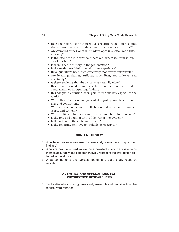- Does the report have a conceptual structure evident in headings that are used to organize the content (i.e., themes or issues)?
- Are concerns, issues, or problems developed in a serious and scholarly way?
- Is the case defined clearly so others can generalize from it, replicate it, or both?
- Is there a sense of story to the presentation?
- Is the reader provided some vicarious experience?
- Have quotations been used effectively, not overly extensively?
- Are headings, figures, artifacts, appendixes, and indexes used effectively?
- Is there evidence that the report was carefully edited?
- Has the writer made sound assertions, neither over- nor undergeneralizing or interpreting findings?
- Has adequate attention been paid to various key aspects of the work?
- Was sufficient information presented to justify confidence in findings and conclusions?
- Were information sources well chosen and sufficient in number, scope, and content?
- Were multiple information sources used as a basis for outcomes?
- Is the role and point of view of the researcher evident?
- Is the nature of the audience evident?
- Is the reporting sensitive to multiple perspectives?

#### **CONTENT REVIEW**

- 1. What basic processes are used by case study researchers to report their findings?
- 2. What are the criteria used to determine the extent to which a researcher's themes accurately and comprehensively represent the information collected in the study?
- 3. What components are typically found in a case study research report?

#### **ACTIVITIES AND APPLICATIONS FOR PROSPECTIVE RESEARCHERS**

1. Find a dissertation using case study research and describe how the results were reported.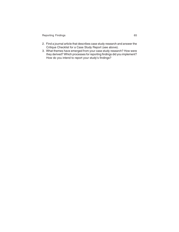- 2. Find a journal article that describes case study research and answer the Critique Checklist for a Case Study Report (see above).
- 3. What themes have emerged from your case study research? How were they derived? Which processes for reporting findings did you implement? How do you intend to report your study's findings?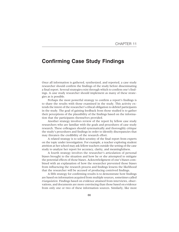### **Confirming Case Study Findings**

Once all information is gathered, synthesized, and reported, a case study researcher should confirm the findings of the study before disseminating a final report. Several strategies exist through which to confirm one's findings. A case study researcher should implement as many of these strategies as is possible.

Perhaps the most powerful strategy to confirm a report's findings is to share the results with those examined in the study. This activity extends the intent of the researcher's ethical obligation to debrief participants in the study. The goal of gaining feedback from those studied is to gather their perceptions of the plausibility of the findings based on the information that the participants themselves provided.

Another strategy involves review of the report by fellow case study researchers who are familiar with the goals and procedures of case study research. These colleagues should systematically and thoroughly critique the study's procedures and findings in order to identify discrepancies that may threaten the credibility of the research effort.

A related strategy is to solicit scrutiny of the final report from experts on the topic under investigation. For example, a teacher exploring student attrition at her school may ask fellow teachers outside the setting of the case study to analyze her report for accuracy, clarity, and meaningfulness.

A fourth strategy involves the researcher's articulation of personal biases brought to the situation and how he or she attempted to mitigate the potential effects of those biases. Acknowledgment of one's biases combined with an explanation of how the researcher prevented those biases from influencing the research process and findings lessens the likelihood that the researcher will be accused of producing contrived findings.

A fifth strategy for confirming results is to demonstrate how findings are based on information acquired from multiple sources, sometimes called *triangulation*. Findings based on evidence attained from interviews, observations, and documents are more convincing than those based on evidence from only one or two of these information sources. Similarly, like most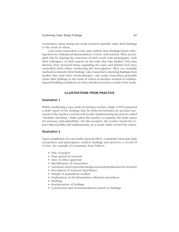researchers, those doing case study research typically relate their findings to the work of others.

Case study researchers verify and confirm their findings before offering them for widespread dissemination, review, and reaction. They accomplish this by sharing the outcomes of their work with participants, with their colleagues, or with experts on the topic that was studied. They also disclose their personal biases regarding the topic and delimit how they controlled them when conducting the investigation. They use multiple methods to identify their findings. Like researchers reporting findings from studies that used other methodologies, case study researchers generally relate their findings to the work of others as another method of confirming and building confidence in what was discovered as a result of the study.

#### **ILLUSTRATIONS FROM PRACTICE**

#### **Illustration 1**

While conducting a case study involving a teacher, Stake (1995) prepared a draft report of his findings that he believed included an accurate portrayal of the teacher's actions and words. Implementing the process called "member checking," Stake asked the teacher to examine the draft report for accuracy and palatability. On this occasion, the teacher found the report objectionable and embarrassing. As a result, Stake revised the report.

#### **Illustration 2**

Upon completion of a case study research effort, a summary form may help researchers and participants confirm findings and preserve a record of events. An example of a summary form follows.

- Title of project
- Time period of research
- Date of ethics approval
- Identification of researchers
- Literature used to provide background and justification for research
- Description of research hypotheses
- Sample or population studied
- Explanation of all information collection procedures
- Findings
- Interpretation of findings
- Conclusions and recommendations based on findings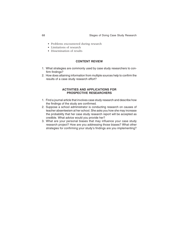- Problems encountered during research
- Limitations of research
- Dissemination of results

#### **CONTENT REVIEW**

- 1. What strategies are commonly used by case study researchers to confirm findings?
- 2. How does attaining information from multiple sources help to confirm the results of a case study research effort?

#### **ACTIVITIES AND APPLICATIONS FOR PROSPECTIVE RESEARCHERS**

- 1. Find a journal article that involves case study research and describe how the findings of the study are confirmed.
- 2. Suppose a school administrator is conducting research on causes of teacher absenteeism at her school. She asks you how she may increase the probability that her case study research report will be accepted as credible. What advice would you provide her?
- 3. What are your personal biases that may influence your case study research project? How are you addressing those biases? What other strategies for confirming your study's findings are you implementing?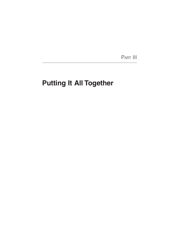PART III

# **Putting It All Together**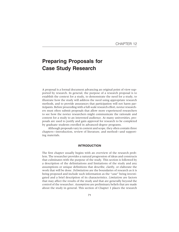# **Preparing Proposals for Case Study Research**

A proposal is a formal document advancing an original point of view supported by research. In general, the purpose of a research proposal is to establish the context for a study, to demonstrate the need for a study, to illustrate how the study will address the need using appropriate research methods, and to provide assurances that participation will not harm participants. Before proceeding with a full-scale research effort, novice researchers must often submit proposals that allow more experienced researchers to see how the novice researchers might communicate the rationale and content for a study to an interested audience. At many universities, proposals are used to justify and gain approval for research to be completed by graduate students enrolled in advanced-degree programs.

Although proposals vary in content and scope, they often contain three chapters—introduction, review of literature, and method—and supporting materials.

#### **INTRODUCTION**

The first chapter usually begins with an overview of the research problem. The researcher provides a natural progression of ideas and constructs that culminates with the purpose of the study. This section is followed by a description of the delimitations and limitations of the study and any assumptions or unique definitions that describe, clarify, or elaborate the work that will be done. *Delimitations* are the boundaries of research as it is being proposed and include such information as the "case" being investigated and a brief description of its characteristics. *Limitations* are factors that may affect the results of the study and that are generally beyond the control of the researcher. *Assumptions* are preliminary beliefs that are made about the study in general. This section of Chapter 1 places the research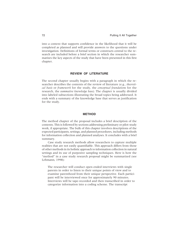into a context that supports confidence in the likelihood that it will be completed as planned and will provide answers to the questions under investigation. Definitions of formal terms or constructs central to the research are included before a brief section in which the researcher summarizes the key aspects of the study that have been presented in this first chapter.

#### **REVIEW OF LITERATURE**

The second chapter usually begins with a paragraph in which the researcher describes the contents of the review of literature (e.g., *theoretical basis* or *framework* for the study, the *conceptual foundations* for the research, the *summative knowledge base).* The chapter is usually divided into labeled subsections illustrating the broad topics being addressed. It ends with a summary of the knowledge base that serves as justification for the study.

#### **METHOD**

The method chapter of the proposal includes a brief description of the contents. This is followed by sections addressing preliminary or pilot-study work, if appropriate. The bulk of this chapter involves descriptions of the expected participants, settings, and planned procedures, including methods for information collection and planned analyses. It concludes with a brief summary.

Case study research methods allow researchers to capture multiple realities that are not easily quantifiable. This approach differs from those of other methods in its holistic approach to information collection in natural settings and its use of purposive sampling techniques. Here is how the "method" in a case study research proposal might be summarized (see Lehmann, 1998):

The researcher will conduct open-ended interviews with single parents in order to listen to their unique points of view and to examine parenthood from their unique perspective. Each participant will be interviewed once for approximately 90 minutes. Interviews will be tape-recorded and then transcribed in order to categorize information into a coding scheme. The transcript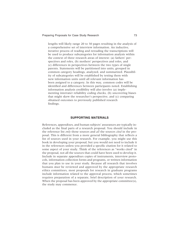lengths will likely range 20 to 30 pages resulting in the analysis of a comprehensive set of interview information. An inductive, iterative process of reading and rereading the transcriptions will be used to produce subcategories for information analysis within the context of three research areas of interest: (a) fathers' perspectives and roles, (b) mothers' perspectives and roles, and (c) differences in perspectives between the two types of single parents. Statements will be partitioned into units, grouped in common category headings, analyzed, and summarized. Plausibility of subcategories will be established by testing them with new information units until all relevant information has been assigned to a category. In this way, common codes will be identified and differences between participants noted. Establishing information analysis credibility will also involve (a) implementing interrater reliability coding checks, (b) uncovering biases that might skew the researcher's perspective, and (c) comparing obtained outcomes to previously published research findings.

#### **SUPPORTING MATERIALS**

References, appendixes, and human subjects' assurances are typically included as the final parts of a research proposal. You should include in the reference list *only* those sources and *all* the sources *cited* in the proposal. This is different from a more general bibliography that reflects a list of sources used in your research. For example, you might use this book in developing your proposal, but you would not need to include it in the references unless you provided a specific citation for it related to some aspect of your study. Think of the references as "works cited" in the proposal, not all the sources that could have been used to develop it. Include in separate appendixes copies of instruments, interview protocols, information collection forms and programs, or written information that you plan to use in your study. Because all research that involves humans *must* be reviewed and approved by the appropriate research ethics committees, most proposals for research in graduate programs include information related to the approval process, which sometimes requires preparation of a separate, brief description of your research. When the proposal has been approved by the appropriate committee(s), the study may commence.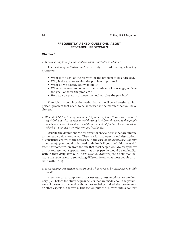#### **FREQUENTLY ASKED QUESTIONS ABOUT RESEARCH PROPOSALS**

#### **Chapter 1**

*1. Is there a simple way to think about what is included in Chapter 1?*

The best way to "introduce" your study is by addressing a few key questions:

- What is the goal of the research or the problem to be addressed?
- Why is the goal or solving the problem important?
- What do we already know about it?
- What do we need to know in order to advance knowledge, achieve the goal, or solve the problem?
- How do you plan to achieve the goal or solve the problem?

Your job is to convince the reader that you will be addressing an important problem that needs to be addressed in the manner that you have chosen.

*2. What do I "define" in my section on "definition of terms?" How can I connect my definitions with the relevance of the study? I defined the terms so that people would have more information about them* (*example: definition of what an urban school is*)*. I am not sure what you are looking for.*

Usually the definitions are reserved for special terms that are unique to the study being conducted. They are formal, operational descriptions of constructs central to the research. In the case of *an urban school* (or any other term), you would only need to define it if your definition was different, for some reason, from the one that most people would already know or if it represented a special term that most people would be unfamiliar with in their daily lives (e.g., *North Carolina ABCs* require a definition because the term refers to something different from what most people associate with *ABCs*).

*3. Is an assumptions section necessary and what needs to be incorporated in this area?*

A section on assumptions is not necessary. Assumptions are preliminary (i.e., before the study begins) beliefs that are made about the parameters of the study in general or about the case being studied, the instruments, or other aspects of the work. This section puts the research into a context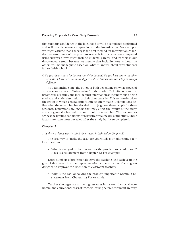that supports confidence in the likelihood it will be completed as planned and will provide answers to questions under investigation. For example, we might assume that a survey is the best method for information collection because much of the previous research in that area was completed using surveys. Or we might include students, parents, and teachers in our drop-out-rate study because we assume that including one without the others will be inadequate based on what is known about why students fail to finish school.

*4. Do you always have limitations and delimitations? Do you have one or the other or both? I have seen so many different dissertations and the setup is always different.*

You can include one, the other, or both depending on what aspect of your research you are "introducing" to the reader. Delimitations are the parameters of a study and include such information as the individuals being studied and a brief description of their characteristics. This section describes the group to which generalizations can be safely made. Delimitations define what the researcher has decided to do (e.g., use these people for these reasons). Limitations are factors that may affect the results of the study and are generally beyond the control of the researcher. This section describes the limiting conditions or restrictive weaknesses of the study. These factors are sometimes revealed after the study has been completed.

#### **Chapter 2**

*1. Is there a simple way to think about what is included in Chapter 2?*

The best way to "make the case" for your study is by addressing a few key questions:

• What is the goal of the research or the problem to be addressed? (This is a restatement from Chapter 1.) For example:

Large numbers of professionals leave the teaching field each year; the goal of this research is the implementation and evaluation of a program designed to improve the retention of classroom teachers.

• Why is the goal or solving the problem important? (Again, a restatement from Chapter 1.) For example:

Teacher shortages are at the highest rates in history; the social, economic, and educational costs of teachers leaving before retirement are very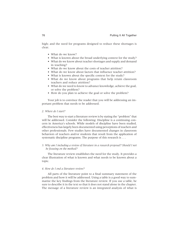high; and the need for programs designed to reduce these shortages is clear.

- What do we know?
- What is known about the broad underlying context for the study?
- What do we know about teacher shortages and supply and demand in teaching?
- What do we know about the costs of teacher attrition?
- What do we know about factors that influence teacher attrition?
- What is known about the specific context for the study?
- What do we know about programs that help retain classroom teachers and reduce attrition?
- What do we need to know to advance knowledge, achieve the goal, or solve the problem?
- How do you plan to achieve the goal or solve the problem?

Your job is to convince the reader that you will be addressing an important problem that needs to be addressed.

#### *2. Where do I start?*

The best way to start a literature review is by stating the "problem" that will be addressed. Consider the following: Discipline is a continuing concern in America's schools. While models of discipline have been studied, effectiveness has largely been documented using perceptions of teachers and other professionals. Few studies have documented changes in classroom behaviors of teachers and/or students that result from the application of systematic discipline programs. The purpose of this research is . . .

#### *3. Why am I including a review of literature in a research proposal? Should I not be focusing on the method?*

The literature review establishes the need for the study. It provides a clear illustration of what is known and what needs to be known about a topic.

#### *4. How do I end a literature review?*

All parts of the literature point to a final summary statement of the problem and how it will be addressed. Using a table is a good way to summarize the key findings from the literature review. If you use a table, be sure to describe it in the text so that it does not stand alone in the chapter. The message of a literature review is an integrated analysis of what is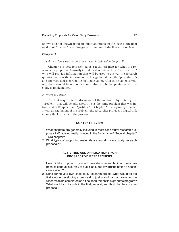known and not known about an important problem; the focus of the final section of Chapter 2 is an integrated summary of the literature review.

#### **Chapter 3**

#### *1. Is there a simple way to think about what is included in Chapter 3?*

Chapter 3 is best represented as a technical map for what the researcher is proposing. It usually includes a description of the "participant(s)" who will provide information that will be used to answer the research question(s). How the information will be gathered (i.e., the "procedures") and analyzed is also part of the method chapter. After this chapter is written, there should be no doubt about what will be happening when the study is implemented.

#### *2. Where do I start?*

The best way to start a discussion of the method is by restating the "problem" that will be addressed. This is the same problem that was introduced in Chapter 1 and "justified" in Chapter 2. By beginning Chapter 3 with a restatement of the problem, the researcher provides a logical link among the key parts of the proposal.

#### **CONTENT REVIEW**

- 1. What chapters are generally included in most case study research proposals? What is normally included in the first chapter? Second chapter? Third chapter?
- 2. What types of supporting materials are found in case study research proposals?

#### **ACTIVITIES AND APPLICATIONS FOR PROSPECTIVE RESEARCHERS**

- 1. How might a proposal to conduct case study research differ from a proposal to conduct a survey of public attitudes toward the nation's healthcare system?
- 2. Considering your own case study research project, what would be the first step in developing a proposal to justify and gain approval for the research to be completed as a final requirement in a graduate program? What would you include in the first, second, and third chapters of your proposal?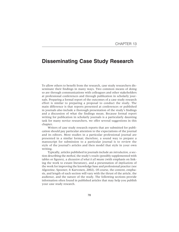### **Disseminating Case Study Research**

To allow others to benefit from the research, case study researchers disseminate their findings in many ways. Two common means of doing so are through communications with colleagues and other stakeholders at professional conferences and through publication in scholarly journals. Preparing a formal report of the outcomes of a case study research effort is similar to preparing a proposal to conduct the study. The main difference is that reports presented at conferences or published in journals also include a thorough presentation of the study's findings and a discussion of what the findings mean. Because formal report writing for publication in scholarly journals is a particularly daunting task for many novice researchers, we offer several suggestions in this chapter.

Writers of case study research reports that are submitted for publication should pay particular attention to the expectations of the journal and its editors. Most studies in a particular professional journal are presented in a similar format; therefore, a sound way to prepare a manuscript for submission to a particular journal is to review the style of the journal's articles and then model that style in your own writing.

Typically, articles published in journals include an *introduction*, a section describing the *method*, the study's *results* (possibly supplemented with tables or figures), a *discussion of what it all means* (with emphasis on linking the work to extant literature), and a presentation of *implications* of the work for improving the knowledge base and professional practice (see Algozzine, Spooner, & Karvonen, 2002). Of course, the content, emphasis, and length of each section will vary with the thrust of the article, the audience, and the nature of the study. The following sections provide information often found in published articles that may help you publish your case study research.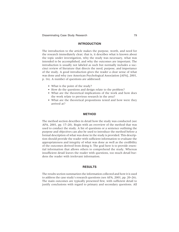#### **INTRODUCTION**

The introduction to the article makes the purpose, worth, and need for the research immediately clear; that is, it describes what is known about the topic under investigation, why the study was necessary, what was intended to be accomplished, and why the outcomes are important. The introduction is usually not labeled as such but normally includes a succinct review of literature that directs the need, purpose, and importance of the study. A good introduction gives the reader a clear sense of what was done and why (see American Psychological Association [APA], 2001, p. 16). A number of questions are addressed:

- What is the point of the study?
- How do the questions and design relate to the problem?
- What are the theoretical implications of the work and how does the work relate to previous research in the area?
- What are the theoretical propositions tested and how were they arrived at?

#### **METHOD**

The method section describes in detail how the study was conducted (see APA, 2001, pp. 17–20). Begin with an overview of the method that was used to conduct the study. A list of questions or a sentence outlining the purpose and objectives can also be used to introduce the method before a formal description of what was done in the study is provided. This description should provide the reader with sufficient information to evaluate the appropriateness and integrity of what was done as well as the credibility of the outcomes derived from doing it. The goal here is to provide essential information that allows others to comprehend the study. Whereas insufficient detail leaves the reader with questions, too much detail burdens the reader with irrelevant information.

#### **RESULTS**

The results section summarizes the information collected and how it is used to address the case study's research questions (see APA, 2001, pp. 20–26). The main outcomes are typically presented first, with sufficient detail to justify conclusions with regard to primary and secondary questions. All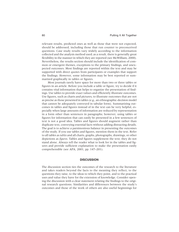relevant results, predicted ones as well as those that were not expected, should be addressed, including those that run counter to preconceived questions. Case study results vary widely according to the information collected and the analysis method used; as a result, there is generally great flexibility in the manner in which they are reported (see McWilliam, 2000). Nevertheless, the results section should include the identification of common or emergent themes, exceptions to the primary findings, and unexpected outcomes. Most findings are reported within the text and may be supported with direct quotes from participants or examples that support the findings. However, some information may be best reported or summarized graphically in tables or figures.

Most journals rarely have space for more than two or three tables or figures in an article. Before you include a table or figure, try to decide if it contains vital information that helps to organize the presentation of findings. Use tables to provide exact values and efficiently illustrate outcomes. Use figures, such as charts and pictures, to illustrate outcomes that are not as precise as those presented in tables (e.g., an ethnographic-decision model that cannot be adequately conveyed in tabular form). Summarizing outcomes in tables and figures instead of in the text can be very helpful, especially when large amounts of information are reduced by representation in a form other than sentences in paragraphs; however, using tables or figures for information that can easily be presented in a few sentences of text is not a good idea. Tables and figures should augment rather than duplicate text, conveying essential facts without adding distracting details. The goal is to achieve a parsimonious balance in presenting the outcomes of the study. If you use tables and figures, mention them in the text. Refer to all tables as *tables* and all charts, graphs, photographs, drawings, or other depictions as *figures*. Tables and figures supplement the text; they do not stand alone. Always tell the reader what to look for in the tables and figures and provide sufficient explanation to make the presentation easily comprehensible (see APA, 2001, pp. 147–201).

#### **DISCUSSION**

The discussion section ties the outcomes of the research to the literature and takes readers beyond the facts to the meaning they reflect, to the questions they raise, to the ideas to which they point, and to the practical uses and value they have for the extension of knowledge. Consider opening the discussion with a clear statement relating the findings to the original research questions. Similarities and differences between the study's outcomes and those of the work of others are also useful beginnings for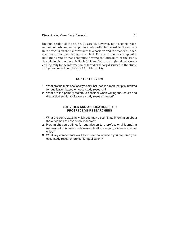the final section of the article. Be careful, however, not to simply reformulate, rehash, and repeat points made earlier in the article. Statements in the discussion should contribute to a position and the reader's understanding of the issue being researched. Finally, do not overemphasize limitations and do not generalize beyond the outcomes of the study. Speculation is in order only if it is (a) identified as such, (b) related closely and logically to the information collected or theory discussed in the study, and (c) expressed concisely (APA, 1994, p. 19).

#### **CONTENT REVIEW**

- 1. What are the main sections typically included in a manuscript submitted for publication based on case study research?
- 2. What are the primary factors to consider when writing the results and discussion sections of a case study research report?

#### **ACTIVITIES AND APPLICATIONS FOR PROSPECTIVE RESEARCHERS**

- 1. What are some ways in which you may disseminate information about the outcomes of case study research?
- 2. How might you outline, for submission to a professional journal, a manuscript of a case study research effort on gang violence in inner cities?
- 3. What key components would you need to include if you prepared your case study research project for publication?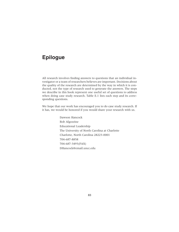# **Epilogue**

All research involves finding answers to questions that an individual investigator or a team of researchers believes are important. Decisions about the quality of the research are determined by the way in which it is conducted, not the type of research used to generate the answers. The steps we describe in this book represent one useful set of questions to address when doing case study research. Table E.1 lists each step and its corresponding questions.

We hope that our work has encouraged you to do case study research. If it has, we would be honored if you would share your research with us.

> Dawson Hancock Bob Algozzine Educational Leadership The University of North Carolina at Charlotte Charlotte, North Carolina 28223-0001 704-687-8858 704-687-3493(FAX) DHancock@email.uncc.edu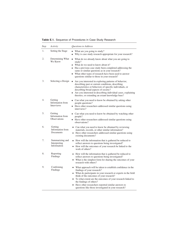| Step | Activity                                           | Questions to Address                                                                                                                                                                                                                                                                                                                                                                                                          |
|------|----------------------------------------------------|-------------------------------------------------------------------------------------------------------------------------------------------------------------------------------------------------------------------------------------------------------------------------------------------------------------------------------------------------------------------------------------------------------------------------------|
| 1.   | Setting the Stage                                  | What are you going to study?<br>Why is case study research appropriate for your research?                                                                                                                                                                                                                                                                                                                                     |
| 2.   | Determining What<br>We Know                        | What do we already know about what you are going to<br>۰<br>study?<br>What do we need to know about it?<br>Has a previous case study been completed addressing the<br>$\bullet$<br>same or similar questions as in your research?<br>• What other types of research have been used to answer<br>questions similar to those in your research?                                                                                  |
| 3.   | Selecting a Design                                 | Are you interested in exploring patterns of behavior,<br>describing past or current conditions, describing<br>characteristics or behaviors of specific individuals, or<br>describing broad aspects of society?<br>Are you interested in describing individual cases, explaining<br>theories, or extending an extant knowledge base?                                                                                           |
| 4.   | Getting<br>Information from<br>Interviews          | • Can what you need to know be obtained by asking other<br>people questions?<br>Have other researchers addressed similar questions using<br>interviews?                                                                                                                                                                                                                                                                       |
| 5.   | Getting<br>Information from<br><b>Observations</b> | Can what you need to know be obtained by watching other<br>people?<br>Have other researchers addressed similar questions using<br>observations?                                                                                                                                                                                                                                                                               |
| 6.   | Getting<br>Information from<br>Documents           | • Can what you need to know be obtained by reviewing<br>materials, records, or other similar information?<br>• Have other researchers addressed similar questions using<br>existing documents?                                                                                                                                                                                                                                |
| 7.   | Summarizing and<br>Interpreting<br>Information     | How will the information that is gathered be reduced to<br>$\bullet$<br>reflect answers to questions being investigated?<br>How will the outcomes of your research be linked to the<br>$\bullet$<br>work of others?                                                                                                                                                                                                           |
| 8.   | Reporting<br>Findings                              | • How will the information that is gathered be reduced to<br>reflect answers to questions being investigated?<br>• What is the simplest form for sharing the outcomes of your<br>research with others?                                                                                                                                                                                                                        |
| 9.   | Confirming<br>Findings                             | • What approach will be taken to establish confidence in the<br>findings of your research?<br>• What do participants in your research or experts in the field<br>think of the outcomes of your research?<br>• To what extent are the outcomes of your research linked to<br>the findings of others?<br>Have other researchers reported similar answers to<br>$\bullet$<br>questions like those investigated in your research? |

**Table E.1.** Sequence of Procedures in Case Study Research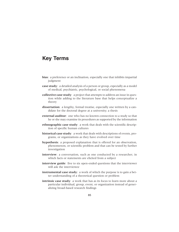# **Key Terms**

- **bias**: a preference or an inclination, especially one that inhibits impartial judgment
- **case study**: a detailed analysis of a person or group, especially as a model of medical, psychiatric, psychological, or social phenomena
- **collective case study**: a project that attempts to address an issue in question while adding to the literature base that helps conceptualize a theory
- dissertation: a lengthy, formal treatise, especially one written by a candidate for the doctoral degree at a university; a thesis
- **external auditor**: one who has no known connection to a study so that he or she may examine its procedures as supported by the information
- **ethnographic case study**: a work that deals with the scientific description of specific human cultures
- **historical case study**: a work that deals with descriptions of events, programs, or organizations as they have evolved over time
- **hypothesis**: a proposed explanation that is offered for an observation, phenomenon, or scientific problem and that can be tested by further investigation
- **interview**: a conversation, such as one conducted by a researcher, in which facts or statements are elicited from a subject
- **interview guide**: five to six open-ended questions that the interviewer will ask the interviewee
- **instrumental case study**: a work of which the purpose is to gain a better understanding of a theoretical question or problem
- **intrinsic case study**: a work that has as its focus to learn more about a particular individual, group, event, or organization instead of generalizing broad-based research findings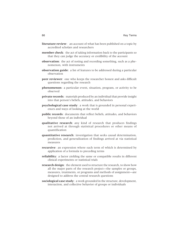- **literature review**: an account of what has been published on a topic by accredited scholars and researchers
- **member check**: the act of taking information back to the participants so that they can judge the accuracy or credibility of the account
- **observation**: the act of noting and recording something, such as a phenomenon, with instruments
- **observation guide**: a list of features to be addressed during a particular observation
- **peer reviewer**: one who keeps the researcher honest and asks difficult questions regarding the research
- **phenomenon**: a particular event, situation, program, or activity to be observed
- **private records**: materials produced by an individual that provide insight into that person's beliefs, attitudes, and behaviors
- **psychological case study**: a work that is grounded in personal experiences and ways of looking at the world
- **public records**: documents that reflect beliefs, attitudes, and behaviors beyond those of an individual
- **qualitative research**: any kind of research that produces findings not arrived at through statistical procedures or other means of quantification
- **quantitative research**: investigation that seeks causal determination, prediction, and generalization of findings arrived at via statistical measures
- **recursive**: an expression where each term of which is determined by application of a formula to preceding terms
- **reliability**: a factor yielding the same or compatible results in different clinical experiments or statistical trials
- **research design**: the element used to structure the research, to show how all the major parts of the research project—the samples or groups, measures, treatments, or programs and methods of assignment—are designed to address the central research questions
- **sociological case study**: a work grounded in the structure, development, interaction, and collective behavior of groups or individuals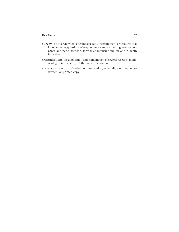- **survey**: an overview that encompasses any measurement procedures that involve asking questions of respondents; can be anything from a short paper-and-pencil feedback form to an intensive one-on-one in-depth interview
- **triangulation**: the application and combination of several research methodologies in the study of the same phenomenon
- **transcript**: a record of verbal communication, especially a written, typewritten, or printed copy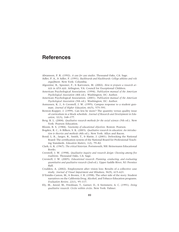# **References**

- Abramson, P. R. (1992). *A case for case studies*. Thousand Oaks, CA: Sage.
- Adler, P. A., & Adler, P. (1991). *Backboards and blackboards: College athletes and role engulfment*. New York: Columbia.
- Algozzine, B., Spooner, F., & Karvonen, M. (2002). *How to prepare a research article in APA style*. Arlington, VA: Council for Exceptional Children.
- American Psychological Association. (1994). *Publication manual of the American Psychological Association* (4th ed.). Washington, DC: Author.
- American Psychological Association. (2001). *Publication manual of the American Psychological Association* (5th ed.). Washington, DC: Author.
- Asmussen, K. J., & Creswell, J. W. (1995). Campus response to a student gunman. *Journal of Higher Education*, *66*(5), 575–591.
- Benton-Kupper, J. (1999). Can less be more? The quantity versus quality issue of curriculum in a block schedule. *Journal of Research and Development in Education*, *32*(3), 168–177.
- Berg, B. L. (2004). *Qualitative research methods for the social sciences* (5th ed.). New York: Pearson Education.
- Bloom, B. S. (1984). *Taxonomy of educational objectives*. Boston: Pearson.
- Bogden, R. C., & Bilken, S. K. (2003). *Qualitative research in education: An introduction to theories and methods* (4th ed.). New York: Allyn and Bacon.
- Bond, L. B., Jaeger, R., Smith, T., & Hattie, J. (2001). Defrocking the National Board: The certification system of the National Board for Professional Teaching Standards. *Education Matters*, *1*(2), 79–82.
- Clark, G. K. (1967). *The critical historian*. Portsmouth, NH: Heinemann Educational Books.
- Creswell, J. W. (1998). *Qualitative inquiry and research design: Choosing among five traditions*. Thousand Oaks, CA: Sage.
- Creswell, J. W. (2005). *Educational research: Planning, conducting, and evaluating quantitative and qualitative research* (2nd ed.). Upper Saddle River, NJ: Prentice Hall.
- Crudden, A. (2002). Employment after vision loss: Results of a collective case study. *Journal of Visual Impairment and Blindness*, *96*(9), 615–621.
- D'Emidio-Caston, M., & Brown, J. H. (1998). The other side of the story: Student narratives on the California Drug, Alcohol, and Tobacco Education programs. *Evaluation Review*, *22*(1), 95–117.
- Ely, M., Anzul, M., Friedman, T., Garner, D., & Steinmetz, A. C. (1991). *Doing qualitative research: Circles within circles*. New York: Falmer.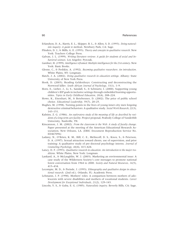- Erlandson, D. A., Harris, E. L., Skipper, B. L., & Allen, S. D. (1993). *Doing naturalistic inquiry: A guide to methods*. Newbury Park, CA: Sage.
- Flinders, D. J., & Mills, G. E. (1993). *Theory and concepts in qualitative research*. New York: Teachers College Press.
- Galvan, J. L. (1999). *Writing literature reviews: A guide for students of social and behavioral sciences*. Los Angeles: Pyrczak.
- Gardner, H. (1999). *Intelligence reframed: Multiple intelligences for the 21st century*. New York: Basic Books.
- Glesne, C., & Peshkin, A. (1992). *Becoming qualitative researchers: An introduction*. White Plains, NY: Longman.
- Hatch, J. A. (2002). *Doing qualitative research in education settings*. Albany: State University of New York Press.
- Hook, D. (2003). Reading Geldenhuys: Constructing and deconstructing the Norwood killer. *South African Journal of Psychology*, *33*(1), 1–9.
- Horn, E., Lieber, J., Li, S., Sandall, S., & Schwartz, I. (2000). Supporting young children's IEP goals in inclusive settings through embedded learning opportunities. *Topics in Early Childhood Education*, *20*(4), 208–224.
- Howe, K., Eisenhart, M., & Betebenner, D. (2002). The price of public school choice. *Educational Leadership*, *59*(7), 20–25.
- Hughes, M. (1998). Turning points in the lives of young inner-city men forgoing destructive criminal behaviors: A qualitative study. *Social Work Research*, *22*(3), 143–151.
- Kalnins, Z. G. (1986). *An exploratory study of the meaning of life as described by residents of a long-term care facility*. Project proposal, Peabody College of Vanderbilt University, Nashville, TN.
- Kincannon, J. M. (2002). *From the classroom to the Web: A study of faculty change*. Paper presented at the meeting of the American Educational Research Association, New Orleans, LA. (ERIC Document Reproduction Service No. ED467096)
- Ladany, N., O'Brien, K. M., Hill, C. E., Melincoff, D. S., Knox, S., & Peterson, D. A. (1997). Sexual attraction toward clients, use of supervision, and prior training: A qualitative study of pre-doctoral psychology interns. *Journal of Counseling Psychology*, *44*(4), 413–424.
- Lancy, D. F. (1993). *Qualitative research in education: An introduction to the major traditions*. White Plains, New York: Longman.
- Lankard, A., & McLaughlin, W. J. (2003). Marketing an environmental issue: A case study of the Wilderness Society's core messages to promote national forest conversation from 1964 to 2000. *Society and Natural Resources*, *16*(5), 415–434.
- Lecompte, M. D., & Preissle, J. (1993). *Ethnography and qualitative design in educational research*. (2nd ed.). Orlando, FL: Academic Press.
- Lehmann, J. P. (1998). Mothers' roles: A comparison between mothers of adolescents with severe disabilities and mothers of vocational students. *Career Development for Exceptional Individuals*, *21*(2), 129–143.
- Lincoln, Y. S., & Guba, E. G. (1985). *Naturalistic inquiry*. Beverly Hills, CA: Sage.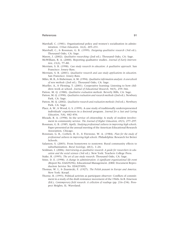- Marshall, C. (1981). Organizational policy and women's socialization in administration. *Urban Education*, *16*(2), 205–231.
- Marshall, C., & Rossman, G. B. (1999). *Designing qualitative research* (3rd ed.). Thousand Oaks, CA: Sage.
- Mason, J. (2002). *Qualitative researching* (2nd ed.). Thousand Oaks, CA: Sage.
- McWilliam, R. A. (2000). Reporting qualitative studies. *Journal of Early Intervention*, *23*(2), 77–80.
- Merriam, S. B. (1998). *Case study research in education: A qualitative approach*. San Francisco: Jossey-Bass.
- Merriam, S. B. (2001). *Qualitative research and case study applications in education*. San Francisco: Jossey-Bass.
- Miles, M. B., & Huberman, A. M. (1994). *Qualitative information analysis: A sourcebook of new methods* (2nd ed.). Thousand Oaks, CA: Sage.
- Mueller, A., & Fleming, T. (2001). Cooperative learning: Listening to how children work at school. *Journal of Educational Research*, *94*(5), 259–366.
- Patton, M. Q. (1980). *Qualitative evaluation methods*. Beverly Hills, CA: Sage.
- Patton, M. Q. (1990). *Qualitative evaluation and research methods* (2nd ed.). Newbury Park, CA: Sage.
- Patton, M. Q. (2002). *Qualitative research and evaluation methods* (3rd ed.). Newbury Park, CA: Sage.
- Place, A. W., & Wood, G. S. (1999). A case study of traditionally underrepresented individuals' experiences in a doctoral program. *Journal for a Just and Caring Education*, *5*(4), 442–456.
- Rhoads, R. A. (1998). In the service of citizenship: A study of student involvement in community service. *The Journal of Higher Education*, *69*(3), 277–297.
- Rossman, G. B. (1985, April). *Studying professional cultures in improving high schools*. Paper presented at the annual meeting of the American Educational Research Association, Chicago.
- Rossman, G. B., Corbett, H. D., & Firestone, W. A. (1984). *Plan for the study of professional cultures in improving high schools*. Philadelphia: Research for Better Schools.
- Salamon, S. (2003). From hometown to nontown: Rural community effects to suburbanization. *Rural Sociology*, *68*(1), 1–24.
- Seidman, I. (2006*). Interviewing as qualitative research: A guide for researchers in education and the social sciences* (3rd ed.). New York: Teachers College Press.
- Stake, R. (1995). *The art of case study research*. Thousand Oaks, CA: Sage.
- Stine, D. E. (1998). *A change in administration: A significant organizational life event* (Report No. EA029296). Educational Management. (ERIC Document Reproduction Service No. ED425509).
- Thomas, W. I., & Znaniecki, F. (1927). *The Polish peasant in Europe and America*. New York: Knopf.
- Thorne, B. (1993). Political activists as participant observer: Conflicts of commitment in a study of the draft resistance movement of the 1960s. In R. Emerson (Ed.), *Contemporary field research: A collection of readings* (pp. 216–234). Prospect Heights, IL: Waveland.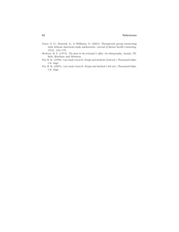- Utsey, S. O., Howard, A., & Williams, O. (2003). Therapeutic group mentoring with African American male adolescents. *Journal of Mental Health Counseling*, *25*(2), 126–139.
- Wolcott, H. F. (1973). *The man in the principal's office: An ethnography*. Austin, TX: Holt, Rinehart and Winston.
- Yin, R. K. (1994). *Case study research: Design and methods* (2nd ed.). Thousand Oaks, CA: Sage.
- Yin, R. K. (2003). *Case study research: Design and methods* (3rd ed.). Thousand Oaks, CA: Sage.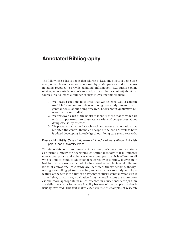# **Annotated Bibliography**

The following is a list of books that address at least one aspect of doing case study research; each citation is followed by a brief paragraph (i.e., the annotation) prepared to provide additional information (e.g., author's point of view, representativeness of case study research in the content) about the sources. We followed a number of steps in creating this resource:

- 1. We located citations to sources that we believed would contain useful information and ideas on doing case study research (e.g., general books about doing research, books about qualitative research and case studies).
- 2. We reviewed each of the books to identify those that provided us with an opportunity to illustrate a variety of perspectives about doing case study research.
- 3. We prepared a citation for each book and wrote an annotation that reflected the central theme and scope of the book as well as how it added developing knowledge about doing case study research.

#### Bassey, M. (1999). Case study research in educational settings. Philadelphia: Open University Press.

The aim of this book is to reconstruct the concept of educational case study as a prime strategy for developing educational theory that illuminates educational policy and enhances educational practice. It is offered to all who set out to conduct educational research by case study. It gives new insight into case study as a tool of educational research. Several different kinds of educational case study are identified: theory-seeking, theorytesting, storytelling, picture-drawing, and evaluative case study. A unique feature of the text is the author's advocacy of "fuzzy-generalizations"; it is argued that, in any case, qualitative fuzzy-generalizations are more honest and more appropriate in much research in educational settings than are definitive claims for generalizability because of the complexity that is usually involved. This text makes extensive use of examples of research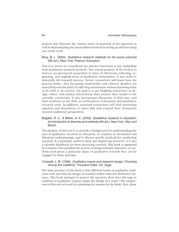projects that illustrate the various forms of potential of the approach as well as demonstrating the practicalities involved in setting up and executing case study work.

Berg, B. L. (2004). Qualitative research methods for the social sciences (5th ed.). New York: Pearson Education.

This text serves as a handbook for anyone interested in but unfamiliar with qualitative research methods. The central purpose of the book is to instruct inexperienced researchers in ways of effectively collecting, organizing, and making sense of qualitative information. It also seeks to demystify the research process. Novice researchers will learn how the process works, thus becoming comfortable and relaxed. Readers are moved beyond the point of collecting information without knowing what to do with it. In essence, the goal is to get fledgling researchers to design, collect, and analyze information, then present their results to the scientific community. It also incorporates discussion of Web sites, and their locations on the Web, as useful pieces of literature and qualitative research tools. In addition, seasoned researchers will find interesting opinions and discussions of topics that may expand their viewpoints beyond traditional perspectives.

# Bogden, R. C., & Bilken, S. K. (2003). Qualitative research in education: An introduction to theories and methods (4th ed.). New York: Allyn and Bacon.

The purpose of this text is to provide a background for understanding the uses of qualitative research in education, to examine its theoretical and historical underpinnings, and to discuss specific methods for conducting research. It is primarily useful to those just beginning; however, it is also a valuable handbook for those practicing research. This book is organized in a manner that parallels the process of doing research; therefore, as students read about a particular phase of qualitative research they can be engaged in those activities.

# Creswell, J. W. (1998). Qualitative inquiry and research design: Choosing among five traditions. Thousand Oaks, CA: Sage.

The basic premise of this book is that different forms of qualitative traditions exist and that the design of research within each has distinctive features. This book attempts to answer the question, How does the type or tradition of qualitative inquiry shape the design of a study? The uniqueness of this text is found in examining the reasons for the book. First, those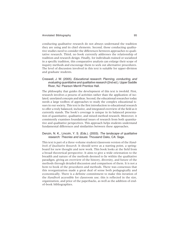conducting qualitative research do not always understand the tradition they are using and its chief elements. Second, those conducting qualitative studies need to consider the differences between approaches to qualitative research. Third, no book currently addresses the relationship of tradition and research design. Finally, for individuals trained or socialized in a specific tradition, this comparative analysis can enlarge their scope of inquiry methods and encourage them to seek out alternative procedures. The level of discussion involved in this text is suitable for upper-division and graduate students.

Creswell, J. W. (2005). Educational research: Planning, conducting, and evaluating quantitative and qualitative research (2nd ed.). Upper Saddle River, NJ: Pearson Merrill Prentice Hall.

The philosophy that guides the development of this text is twofold. First, research involves a process of activities rather than the application of isolated, unrelated concepts and ideas. Second, the educational researcher today needs a large toolbox of approaches to study the complex educational issues in our society. This text is the first introduction to educational research to offer a truly balanced, inclusive, and integrated overview of the field as it currently stands. The book's coverage is unique in its balanced presentation of quantitative, qualitative, and mixed-method research. Moreover, it consistently examines foundational issues of research from both quantitative and qualitative perspectives. This approach helps students understand fundamental differences and similarities between these approaches.

# Denzin, N. K., Lincoln, Y. S. (Eds.). (2003). The landscape of qualitative research: Theories and issues. Thousand Oaks, CA: Sage.

This text is part of a three-volume student/classroom version of the *Handbook of Qualitative Research*. It should serve as a starting point, a springboard for new thought and new work. This book looks at the field from a broad theoretical perspective. It aims to give a wide orientation to the breadth and nature of the methods deemed to lie within the qualitative paradigm, giving an overview of the history, diversity, and future of the methods through detailed discussion and comparison of them. It is not a how-to book of the procedures and methods. There was consensus that this reorganization made a great deal of sense both pedagogically and economically. There is a definite commitment to make this iteration of the *Handbook* accessible for classroom use; this is reflected in the size, organization, and price of the paperbacks, as well as the addition of endof-book bibliographies.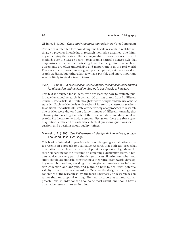#### Gillham, B. (2002). Case study research methods. New York: Continuum.

This series is intended for those doing small-scale research in real-life settings. No previous knowledge of research methods is assumed. The thinking underlying the series reflects a major shift in social science research methods over the past 15 years—away from a natural-sciences style that emphasizes deductive theory-testing toward a recognition that such requirements are often unworkable and inappropriate in the real world. Readers are encouraged to not give up an empirical, evidence-based research tradition, but rather adapt to what is possible and, more important, what is likely to yield a truer picture.

### Lyne, L. S. (2003). A cross section of educational research: Journal articles for discussion and evaluation (2nd ed.). Los Angeles: Pyrczak.

This text is designed for students who are learning how to evaluate published educational research. It contains 30 articles drawn from 21 different journals. The articles illustrate straightforward designs and the use of basic statistics. Each article deals with topics of interest to classroom teachers. In addition, the articles illustrate a wide variety of approaches to research. The articles were drawn from a large number of different journals, thus allowing students to get a taste of the wide variations in educational research. Furthermore, to initiate student discussion, there are three types of questions at the end of each article: factual questions, questions for discussion, and questions about quality ratings.

### Maxwell, J. A. (1996). Qualitative research design: An interactive approach. Thousand Oaks, CA: Sage.

This book is intended to provide advice on designing a qualitative study. It presents an approach to qualitative research that both captures what qualitative researchers really do and provides support and guidance for those embarking for the first time on designing a qualitative study. It renders advice on every part of the design process: figuring out what your study should accomplish, constructing a theoretical framework, developing research questions, deciding on strategies and methods for information collection and analysis, and planning how to deal with potential validity threats to your conclusions. Because the design is the logic and coherence of the research study, the focus is primarily on research design, rather than on proposal writing. The text incorporates a hands-on approach; thus, in order for the book to be most useful, one should have a qualitative research project in mind.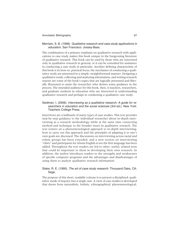# Merriam, S. B. (1998). Qualitative research and case study applications in education. San Francisco: Jossey-Bass.

The combination of a primary emphasis on qualitative research with applications to case study makes this book unique in the burgeoning literature of qualitative research. This book can be used by those who are interested only in qualitative research in general, or it can be consulted for assistance in conducting a case study in particular. Another defining characteristic of this book is its how-to, practical focus; the mechanics of conducting a qualitative study are presented in a simple, straightforward manner. Designing a qualitative study, collecting and analyzing information, and writing research reports are some of the book's topics that are logically presented and liberally illustrated to assist the researcher who desires some guidance in the process. The intended audience for this book, then, is teachers, researchers, and graduate students in education who are interested in understanding qualitative research and perhaps in conducting a qualitative case study.

# Seidman, I. (2006). Interviewing as a qualitative research: A guide for researchers in education and the social sciences (3rd ed.). New York: Teachers College Press.

Interviews are a hallmark of many types of case studies. This text provides step-by-step guidance to the individual researcher about in-depth interviewing as a research methodology while at the same time connecting method and technique to the broader issues in qualitative research. The text centers on a phenomenological approach to in-depth interviewing; how to carry out this approach and the principles of adapting it to one's own goals are discussed. The discussions on interviewing across racial and ethnic groups has been extended, and a new section on interviewing "elites" and participants for whom English is not the first language has been added. Throughout the text readers are led to other, useful, related texts that could be important to them in developing their own research. In addition, the author introduces readers to the strengths and weaknesses of specific computer programs and the advantages and disadvantages of using them to analyze qualitative research information.

# Stake, R. E. (1995). The art of case study research. Thousand Oaks, CA: Sage.

The purpose of this short, readable volume is to present a disciplined, qualitative mode of inquiry into a single case. A view of case studies is developed that draws from naturalistic, holistic, ethnographical, phenomenological,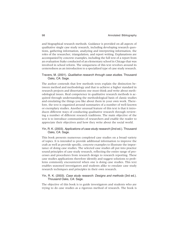and biographical research methods. Guidance is provided on all aspects of qualitative single case study research, including developing research questions, gathering information, analyzing and interpreting information, the roles of the researcher, triangulation, and report writing. Explanations are accompanied by concrete examples, including the full text of a report from an evaluation Stake conducted of an elementary school in Chicago that was involved in school reform. The uniqueness of this text revolves around its centeredness as an introduction to a specialized type of case study research.

### Travers, M. (2001). Qualitative research through case studies. Thousand Oaks, CA: Sage.

The author contends that few methods texts explain the distinction between method and methodology and that to achieve a higher standard in research projects and dissertations one must think and write about methodological issues. Real competence in qualitative research methods is acquired through understanding the methodological basis of classic studies and emulating the things you like about them in your own work. Therefore, the text is organized around summaries of a number of well-known or exemplary studies. Another unusual feature of this text is that it introduces different ways of conducting qualitative research through reviewing a number of different research traditions. The main objective of the text is to introduce communities of researchers and enable the reader to appreciate their objectives and how they write about the social world.

### Yin, R. K. (2003). Applications of case study research (2nd ed.). Thousand Oaks, CA: Sage.

This book presents numerous completed case studies on a broad variety of topics. It is intended to provide additional information to improve the craft as well as provide specific, concrete examples to illustrate the importance of doing case studies. The selected case studies all put into practice sound principles of case study research, reflecting the entire range of processes and procedures from research design to research reporting. These case studies applications therefore identify and suggest solutions to problems commonly encountered when one is doing case studies. This text enables seasoned investigators and students alike to emulate case study research techniques and principles in their own research.

## Yin, R. K. (2003). Case study research: Designs and methods (3rd ed.). Thousand Oaks, CA: Sage.

The objective of this book is to guide investigators and students who are trying to do case studies as a rigorous method of research. The book is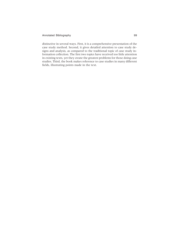distinctive in several ways. First, it is a comprehensive presentation of the case study method. Second, it gives detailed attention to case study designs and analysis, as compared to the traditional topic of case study information collection. The first two topics have received too little attention in existing texts, yet they create the greatest problems for those doing case studies. Third, the book makes reference to case studies in many different fields, illustrating points made in the text.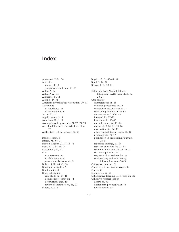# **Index**

Abramson, P. R., 54 Activities nature of, 15 sample case studies of, 21–23 Adler, P., 36 Adler, P. A., 36 Algozzine, B., 78 Allen, S. D., xi American Psychological Association, 79–81 Anonymity of interviews, 41 of observations, 47 Anzul, M., xi Applied research, 5 Asmussen, K. J., 17 Assumptions, in proposals, 71–72, 74–75 At-risk adolescents, research design for, 37 Authenticity, of documents, 52–53 Basic research, 5 Bassey, M., 93–94 Benton-Kupper, J., 17–18, 54 Berg, B. L., 58–60, 94 Betebenner, D., 21 Bias in interviews, 46 in observations, 47 researcher disclosure of, 66 Bilken, S. K., 48–49, 94 Biographical studies, 9 Blind studies, 8 Block scheduling case study on, 17–18 documents research on, 54 observations and, 46 review of literature on, 26, 27 Bloom, B. S., 5

Bogden, R. C., 48–49, 94 Bond, L. B., 20 Brown, J. H., 20–21 California Drug Alcohol Tobacco Education (DATE), case study on, 20–21 Case studies characteristics of, 23 common procedures in, 24 conference presentation of, 78 confirming findings of, 66–68 documents in, 51–54, 63 focus of, 15, 17–23 interviews in, 39–45 natural context of, 15–16 nature of, 9–10, 11, 15–16 observations in, 46–49 other research types versus, 11, 16 proposals for, 71–77 publication in professional journals, 78–81 reporting findings, 61–64 research questions for, 23, 56 review of literature, 26–29, 75–77 rich description in, 16 sequence of procedures for, 84 summarizing and interpreting information from, 56–60 Categorical analysis, 61 Characters, in written messages, 59 Charts, 58 Clark,G. K., 52–53 Collaborative learning, case study on, 22 Collective research design described, 33 disciplinary perspective of, 33 illustration of, 35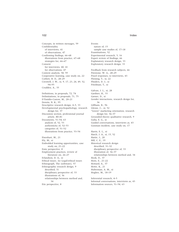Concepts, in written messages, 59 Confidentiality of interviews, 41 of observations, 47 Confirming findings, 66–68 illustrations from practice, 67–68 strategies for, 66–67 Consent for interviews, 40, 41 for observations, 47 Content analysis, 58, 59 Cooperative learning, case study on, 22 Corbett, H. D., 28–29 Creswell, J. W., xi, 9, 17, 23, 24, 49, 52, 94–95 Crudden, A., 35 Definitions, in proposals, 72, 74 Delimitations, in proposals, 71, 75 D'Emidio-Caston, M., 20–21 Denzin, N. K., 95 Descriptive research design, 4–5, 33 Developmental psychopathology, research design for, 37 Discussion section, professional journal article, 80–81 Documents, 51–54, 63 analysis of, 52, 53 authenticity of, 52–53 categories of, 51–52 illustrations from practice, 53–54 Eisenhart, M., 21 Ely, M., xi Embedded learning opportunities, case study on, 21–22 Emic perspective, 8 Employment practices, review of literature on, 26–27 Erlandson, D. A., xi Ethical issues. *See* Legal/ethical issues Ethnograph, The (software), 57 Ethnographic research design, 9 described, 31 disciplinary perspective of, 33 illustrations of, 36 relationships between method and, 34 Etic perspective, 8

Events nature of, 15 sample case studies of, 17–18 Examinations, 52 Experimental research, 5, 16 Expert review of findings, 66 Explanatory research design, 33 Exploratory research design, 33 Feedback from research subjects, 66 Firestone, W. A., 28–29 Fixed responses, to interviews, 43 Fleming, T., xi, 22 Flinders, D. J., xi Friedman, T., xi Galvan, J. L., xi, 28 Gardner, H., 33 Garner, D., xi Gender interactions, research design for, 36 Gillham, B., 96 Glesne, C., xi, 52 "Green" marketing orientation, research design for, 36–37 Grounded-theory qualitative research, 9 Guba, E. G., xi Guided conversations, interviews as, 43 Gunman incident, case study on, 17 Harris, E. L., xi Hatch, J. A., xi, 15, 52 Hattie, J., 20 Hill, C. E., 19 Historical research design described, 31–32 disciplinary perspective of, 33 illustration of, 36–37 relationships between method and, 34 Hook, D., 37 Horn, E., 21–22 Howard, A., 37 Howe, K., 21 Huberman, A. M., xi Hughes, M., 18–19 Inferential research, 4–5 Informal conversations, interviews as, 43

Information sources, 51–54, 63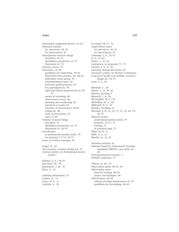#### Index 103

Information-supported themes, 61–62 Informed consent for interviews, 40, 41 for observations, 47 Instrumental research design described, 32–33 disciplinary perspective of, 33 illustration of, 35 Internet sources, 51 Interviews, 39–45 guidelines for conducting, 39–41 illustration from practice, 41, 44–45 individual versus group, 39 instrumentation types, 43 interview guide/protocol, 39 key participants in, 39 legal and ethical requirements of, 40, 41 means of recording, 40 observations versus, 46 planning and conducting, 42 questions to avoid, 44 selection of interviewees, 40–41 setting for, 40 tasks of interviewer, 41 types of, 40 Intrinsic research design described, 32 disciplinary perspective of, 33 illustration of, 34–35 Introduction to professional journal article, 79 for proposal, 71–72, 74–75 Items, in written messages, 59 Jaeger, R., 20 Job retention, research design for, 35 Journal articles. *See* Professional journal articles Kalnins, Z. G., 34–35 Karvonen, M., 78 Kincannon, J. M., 35 Knox, S., 19 Labeling information, 57 Ladany, N., 19

Lancy, D. F., xi Lankard, A., 36 Lecompte, M. D., 32 Legal/ethical issues for interviews, 40, 41 for observations, 47 Lehmann, J. P., 72–73 Li, S., 21–22 Lieber, J., 21–22 Limitations, in proposals, 71, 75 Lincoln, Y. S., xi, 95 Listening, during interviews, 41 Literature review. *See* Review of literature Long-term health-care facilities, research design for, 34–35 Lyne, L. S., 96 Marshall, C., 29 Mason, J., xi, 39, 42 Mastery learning, 5 Maxwell, J. A., 96 McLaughlin, W. J., 36 McWilliam, R. A., 80 Melincoff, D. S., 19 Member checking, 67 Merriam, S. B., xi, 10, 15, 31, 32, 44, 53– 54, 97 Method section professional journal article, 79 proposal, 72–73, 77 starting, 77 as technical map, 77 Miles, M. B., xi Mills, G. E., xi Mueller, A., xi, 22 Narrative analysis, 61 National Board for Professional Teaching Standards (NBPTS), case study on,  $20$ Nonexperimental research, 5 NUDIST (software), 57 O'Brien, K. M., 19 Observation guide, 46–47, 49 Observation notes hints for writing, 48–49 proper and improper, 48 Observations, 46–49 ethical and legal requirements of, 47

guidelines for developing, 46–49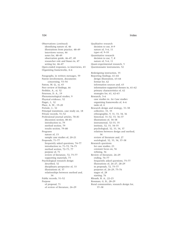Observations (*continued*) identifying nature of, 46 illustrations from practice, 48–49 interviews versus, 46 notes for, 48–49 observation guide, 46–47, 49 researcher role and biases in, 47 setting for, 46–47 Open-ended responses, to interviews, 43 Organizing frameworks, 4–6 Paragraphs, in written messages, 59 Parent involvement, documents concerning, 53–54 Patton, M. Q., xi, 43 Peer review of findings, 66 Peshkin, A., xi, 52 Peterson, D. A., 19 Phenomenological studies, 9 Physical evidence, 52 Piaget, J., 32 Place, A. W., 19–20 Preissle, J., 32 Principal transitions, case study on, 18 Private records, 51–52 Professional journal articles, 78–81 discussion section, 80–81 introduction to, 79 method section, 79 results section, 79–80 Programs nature of, 15 sample case studies of, 20–21 Proposals, 71–77 frequently asked questions, 74–77 introduction to, 71–72, 74–75 method section, 72–73, 77 purpose of, 71 review of literature, 72, 75–77 supporting materials, 73 Psychological research design described, 32 disciplinary perspective of, 33 illustrations of, 37 relationships between method and, 34 Public records, 51–52 Purpose of proposal, 71 of review of literature, 26–29

Qualitative research decision to use, 8–9 nature of, 5–6, 11 types of, 9–10 Quantitative research decision to use, 7, 8 nature of, 5–6, 11 Quasi-experimental research, 5 Questionnaire instruments, 52 Redesigning instruction, 35 Reporting findings, 61–64 design illustration, 63–64 format for, 62 information sources and, 63 information-supported themes in, 61–62 primary characteristics of, 62 strategies for, 61, 62–63 Research, 3–6 case studies in. *See* Case studies organizing frameworks of, 4–6 tasks of, 4 Research design and strategy, 31–38 collective, 33, 35 ethnographic, 9, 31, 33, 34, 36 historical, 31–32, 33, 36–37 illustrations of, 34–38 instrumental, 32–33, 35 intrinsic, 32, 33, 34–35 psychological, 32, 33, 34, 37 relations between design and method, 34 review of literature and, 27 sociological, 32, 33, 34, 37–38 Research questions for case studies, 23 constant focus on, 56 refining, 56 Review of literature, 26–29 ending, 76–77 frequently asked questions, 75–77 illustrations of, 26–27, 28–29 in proposals, 72, 75–77 purposes of, 26–29, 75–76 stages of, 28 starting, 76 Rhoads, R. A., 22–23 Rossman, G. B., 28–29 Rural communities, research design for, 37–38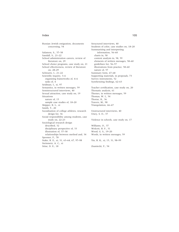Russian Jewish emigration, documents concerning, 54 Salamon, S., 37–38 Sandall, S., 21–22 School administration careers, review of literature on, 29 School choice programs, case study on, 21 School effectiveness, review of literature on, 28–29 Schwartz, I., 21–22 Scientific inquiry, 3–6 organizing frameworks of, 4–6 tasks of, 4 Seidman, I., xi, 97 Semantics, in written messages, 59 Semistructured interviews, 40 Sexual attraction, case study on, 19 Situations nature of, 15 sample case studies of, 18–20 Skipper, B. L., xi Smith, T., 20 Socialization of college athletes, research design for, 36 Social responsibility among students, case study on, 22–23 Sociological research design described, 32 disciplinary perspective of, 33 illustration of, 37–38 relationships between method and, 34 Spooner, F., 78 Stake, R. E., xi, 31, 63–64, 67, 97–98 Steinmetz, A. C., xi Stine, D. E., 18

Structured interviews, 40 Students of color, case studies on, 18–20 Summarizing and interpreting information, 56–60 charts in, 58 content analysis in, 58, 59 elements of written messages, 58–60 guidelines for, 56–57 illustrations from practice, 58–60 nature of, 57 Summary form, 67–68 Supporting materials, in proposals, 73 Survey instruments, 52 Synthesizing findings, 62–63

Teacher certification, case study on, 20 Thematic analysis, 61 Themes, in written messages, 59 Thomas, W. I., 54 Thorne, B., 36 Travers, M., 98 Triangulation, 66–67

Unstructured interviews, 40 Utsey, S. O., 37

Violence in schools, case study on, 17

Williams, O., 37 Wolcott, H. F., 31 Wood, G. S., 19–20 Words, in written messages, 59

Yin, R. K., xi, 15, 31, 98–99

Znaniecki, F., 54